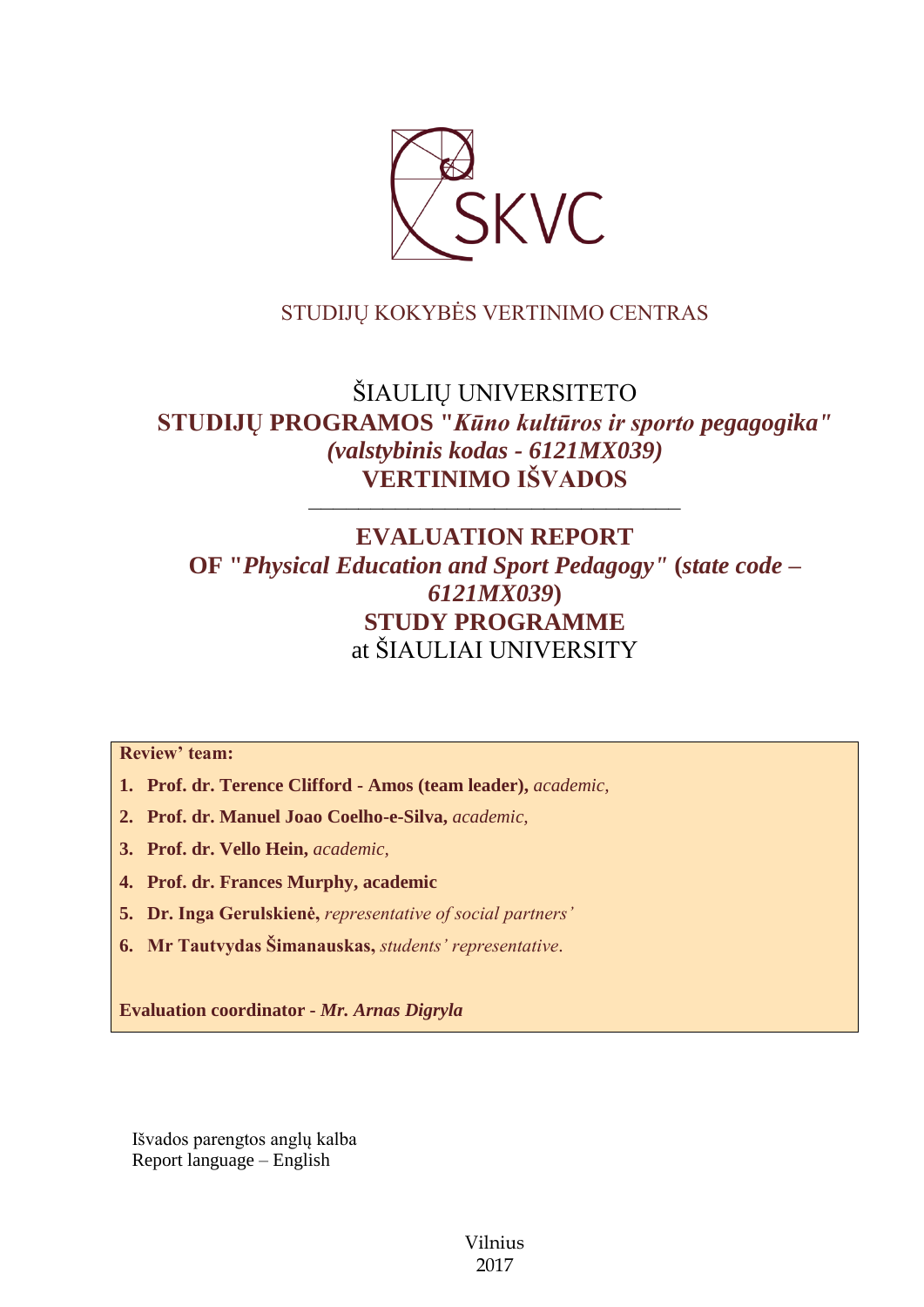

# STUDIJŲ KOKYBĖS VERTINIMO CENTRAS

# ŠIAULIŲ UNIVERSITETO **STUDIJŲ PROGRAMOS "***Kūno kultūros ir sporto pegagogika" (valstybinis kodas - 6121MX039)* **VERTINIMO IŠVADOS**

––––––––––––––––––––––––––––––

# **EVALUATION REPORT OF "***Physical Education and Sport Pedagogy"* **(***state code – 6121MX039***) STUDY PROGRAMME** at ŠIAULIAI UNIVERSITY

**Review' team:** 

- **1. Prof. dr. Terence Clifford - Amos (team leader),** *academic,*
- **2. Prof. dr. Manuel Joao Coelho-e-Silva,** *academic,*
- **3. Prof. dr. Vello Hein,** *academic,*
- **4. Prof. dr. Frances Murphy, academic**
- **5. Dr. Inga Gerulskienė,** *representative of social partners'*
- **6. Mr Tautvydas Šimanauskas,** *students' representative*.

**Evaluation coordinator -** *Mr. Arnas Digryla*

Išvados parengtos anglų kalba Report language – English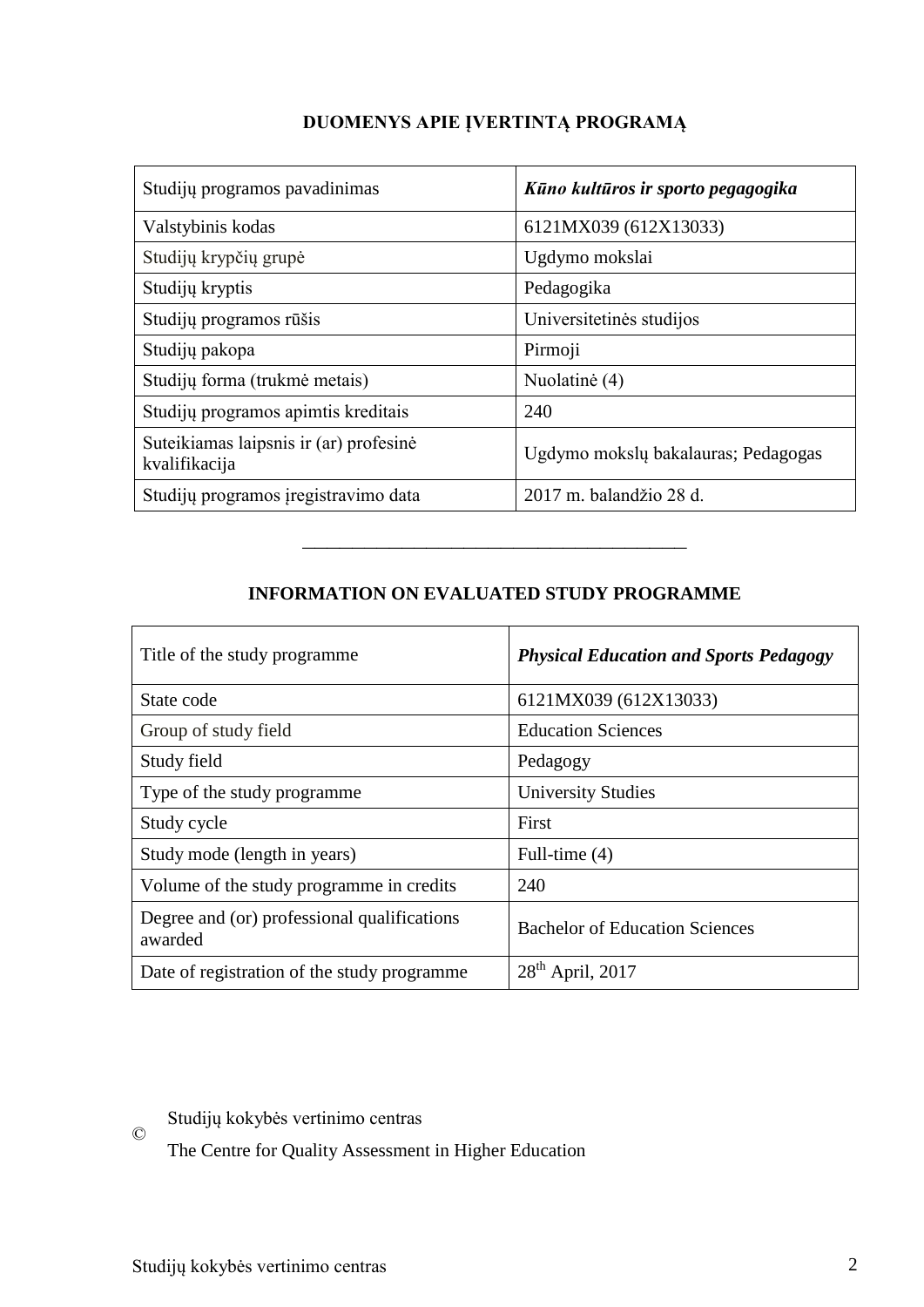| Studijų programos pavadinimas                           | Kūno kultūros ir sporto pegagogika  |
|---------------------------------------------------------|-------------------------------------|
| Valstybinis kodas                                       | 6121MX039 (612X13033)               |
| Studijų krypčių grupė                                   | Ugdymo mokslai                      |
| Studijų kryptis                                         | Pedagogika                          |
| Studijų programos rūšis                                 | Universitetinės studijos            |
| Studijų pakopa                                          | Pirmoji                             |
| Studijų forma (trukmė metais)                           | Nuolatinė (4)                       |
| Studijų programos apimtis kreditais                     | 240                                 |
| Suteikiamas laipsnis ir (ar) profesinė<br>kvalifikacija | Ugdymo mokslų bakalauras; Pedagogas |
| Studijų programos įregistravimo data                    | 2017 m. balandžio 28 d.             |

# **DUOMENYS APIE ĮVERTINTĄ PROGRAMĄ**

## **INFORMATION ON EVALUATED STUDY PROGRAMME**

–––––––––––––––––––––––––––––––

| Title of the study programme.                          | <b>Physical Education and Sports Pedagogy</b> |
|--------------------------------------------------------|-----------------------------------------------|
| State code                                             | 6121MX039 (612X13033)                         |
| Group of study field                                   | <b>Education Sciences</b>                     |
| Study field                                            | Pedagogy                                      |
| Type of the study programme                            | <b>University Studies</b>                     |
| Study cycle                                            | First                                         |
| Study mode (length in years)                           | Full-time $(4)$                               |
| Volume of the study programme in credits               | 240                                           |
| Degree and (or) professional qualifications<br>awarded | <b>Bachelor of Education Sciences</b>         |
| Date of registration of the study programme            | $28th$ April, 2017                            |

© Studijų kokybės vertinimo centras

The Centre for Quality Assessment in Higher Education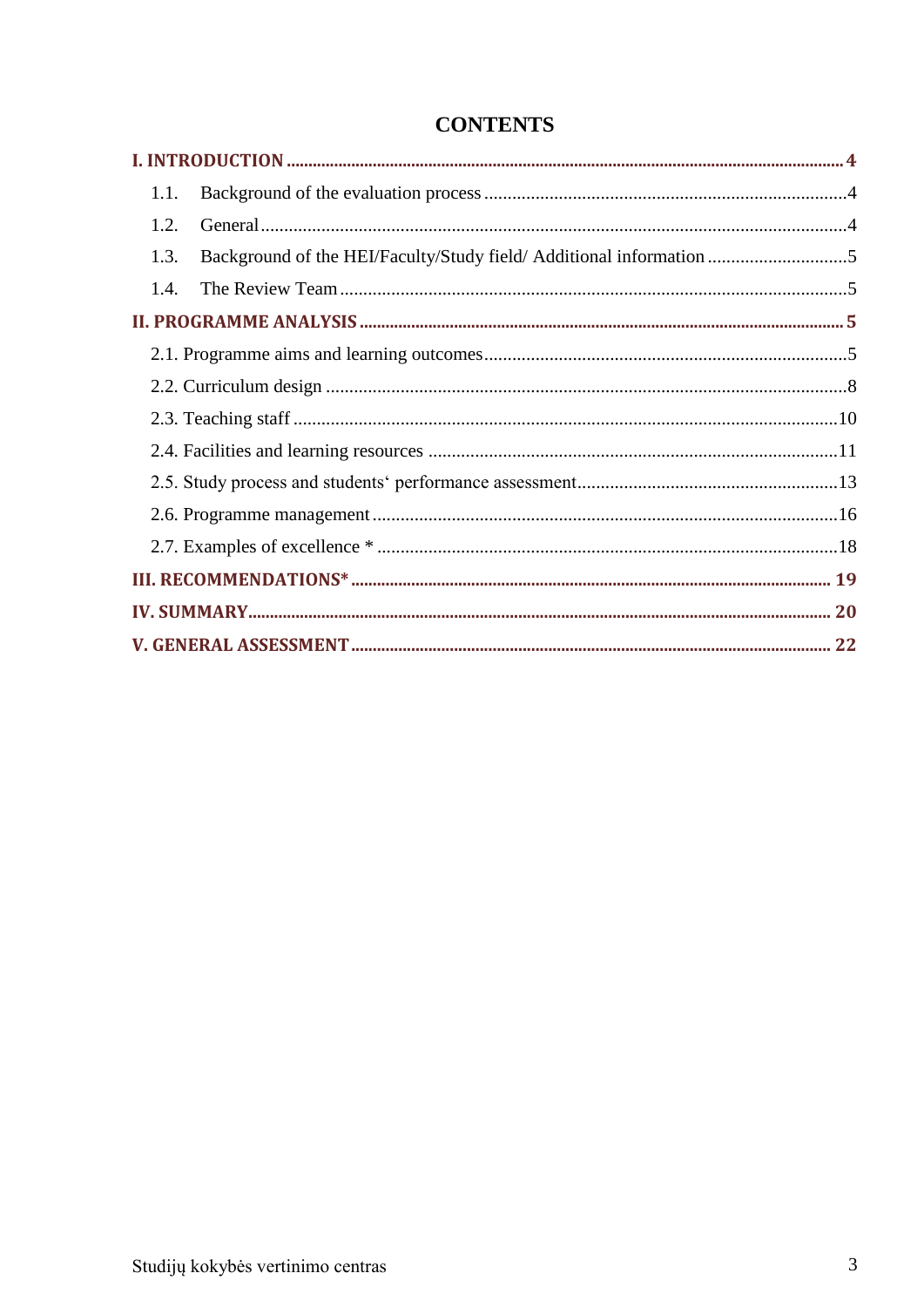| 1.1.                                                                        |  |  |
|-----------------------------------------------------------------------------|--|--|
| 1.2.                                                                        |  |  |
| Background of the HEI/Faculty/Study field/ Additional information 5<br>1.3. |  |  |
| 1.4.                                                                        |  |  |
|                                                                             |  |  |
|                                                                             |  |  |
|                                                                             |  |  |
|                                                                             |  |  |
|                                                                             |  |  |
|                                                                             |  |  |
|                                                                             |  |  |
|                                                                             |  |  |
|                                                                             |  |  |
|                                                                             |  |  |
|                                                                             |  |  |

# **CONTENTS**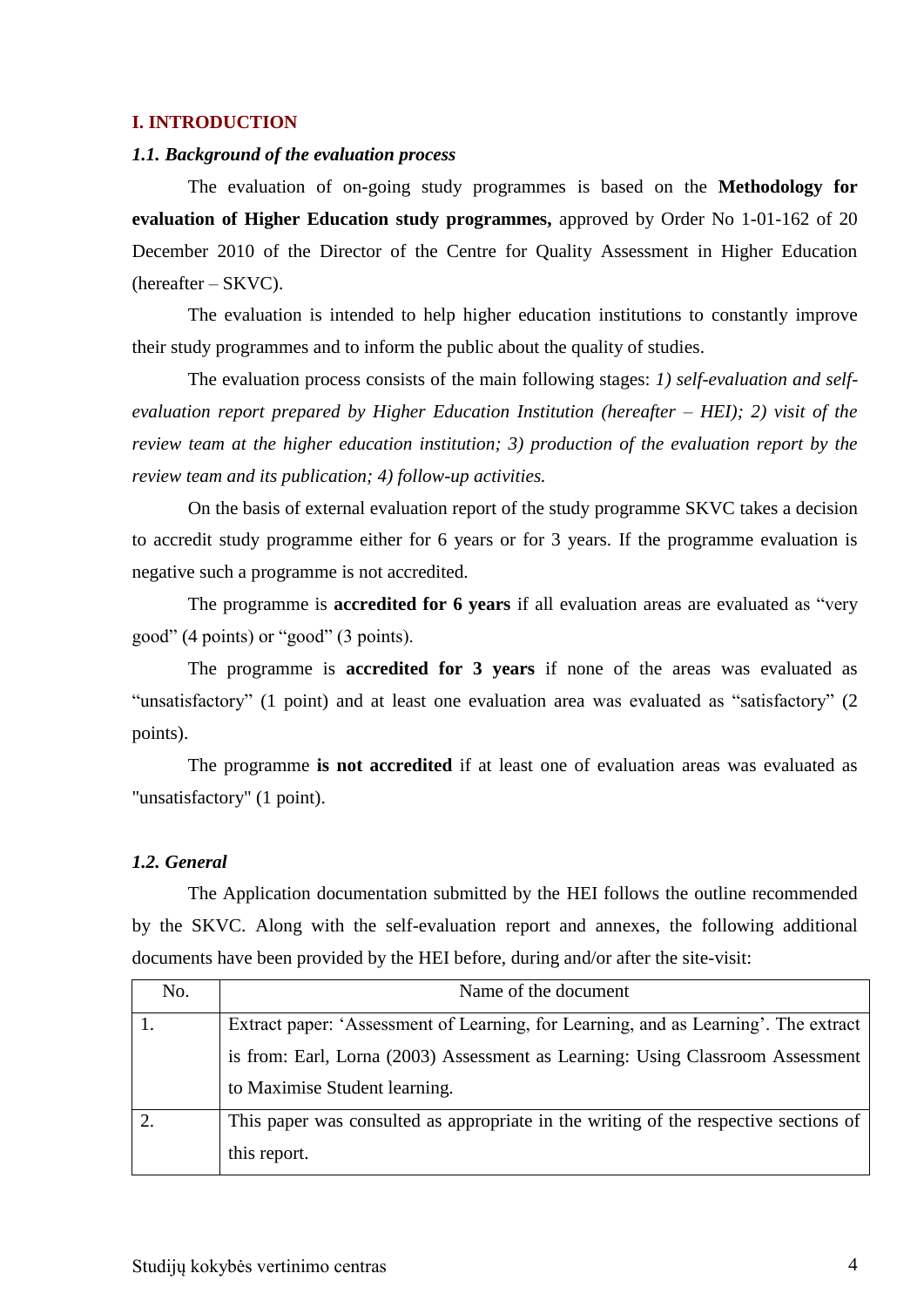#### <span id="page-3-0"></span>**I. INTRODUCTION**

#### <span id="page-3-1"></span>*1.1. Background of the evaluation process*

The evaluation of on-going study programmes is based on the **Methodology for evaluation of Higher Education study programmes,** approved by Order No 1-01-162 of 20 December 2010 of the Director of the Centre for Quality Assessment in Higher Education (hereafter – SKVC).

The evaluation is intended to help higher education institutions to constantly improve their study programmes and to inform the public about the quality of studies.

The evaluation process consists of the main following stages: *1) self-evaluation and selfevaluation report prepared by Higher Education Institution (hereafter – HEI); 2) visit of the review team at the higher education institution; 3) production of the evaluation report by the review team and its publication; 4) follow-up activities.* 

On the basis of external evaluation report of the study programme SKVC takes a decision to accredit study programme either for 6 years or for 3 years. If the programme evaluation is negative such a programme is not accredited.

The programme is **accredited for 6 years** if all evaluation areas are evaluated as "very good" (4 points) or "good" (3 points).

The programme is **accredited for 3 years** if none of the areas was evaluated as "unsatisfactory" (1 point) and at least one evaluation area was evaluated as "satisfactory" (2 points).

The programme **is not accredited** if at least one of evaluation areas was evaluated as "unsatisfactory" (1 point).

#### <span id="page-3-2"></span>*1.2. General*

The Application documentation submitted by the HEI follows the outline recommended by the SKVC. Along with the self-evaluation report and annexes, the following additional documents have been provided by the HEI before, during and/or after the site-visit:

| No. | Name of the document                                                                 |
|-----|--------------------------------------------------------------------------------------|
|     | Extract paper: 'Assessment of Learning, for Learning, and as Learning'. The extract  |
|     | is from: Earl, Lorna (2003) Assessment as Learning: Using Classroom Assessment       |
|     | to Maximise Student learning.                                                        |
|     | This paper was consulted as appropriate in the writing of the respective sections of |
|     | this report.                                                                         |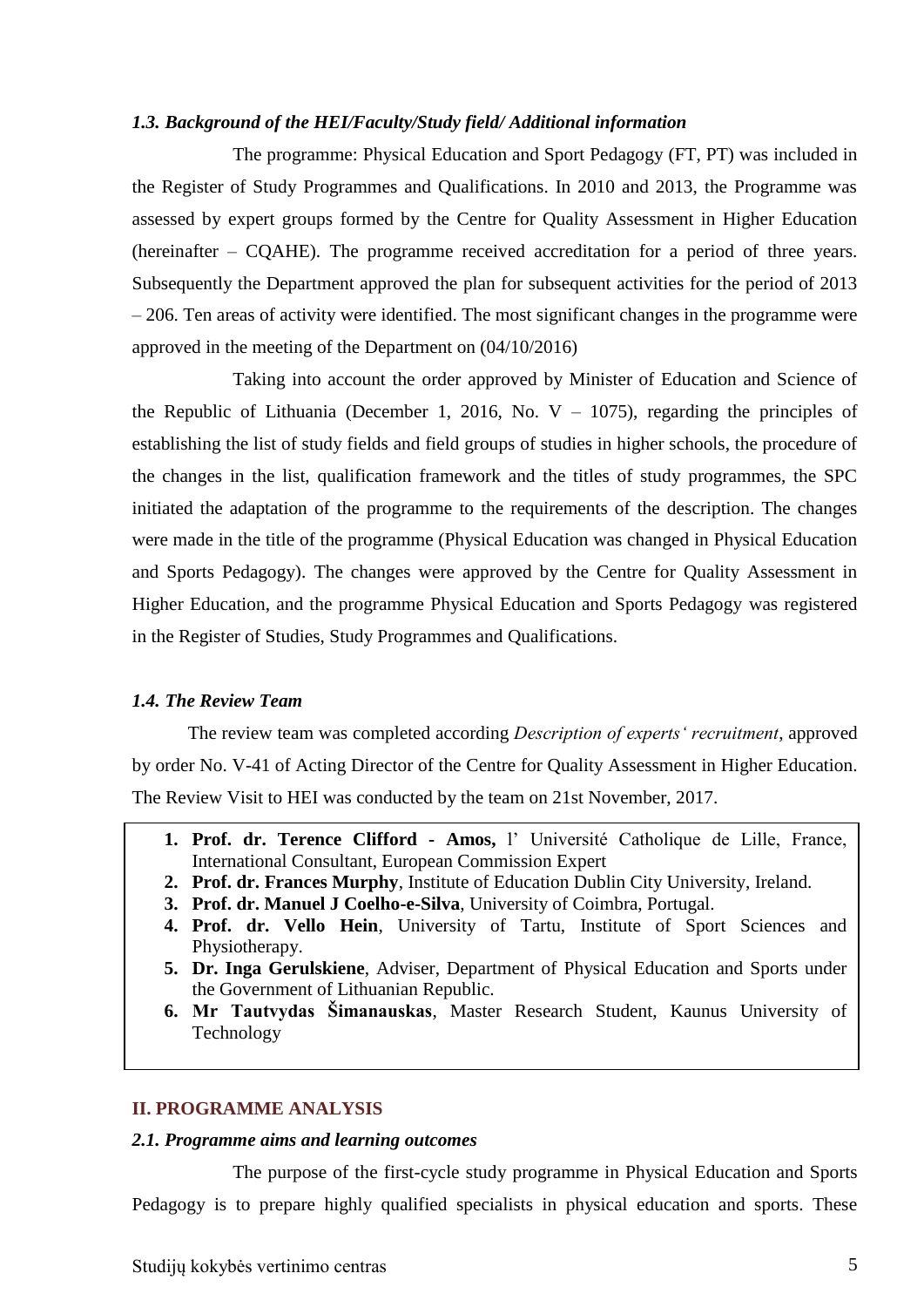#### <span id="page-4-0"></span>*1.3. Background of the HEI/Faculty/Study field/ Additional information*

The programme: Physical Education and Sport Pedagogy (FT, PT) was included in the Register of Study Programmes and Qualifications. In 2010 and 2013, the Programme was assessed by expert groups formed by the Centre for Quality Assessment in Higher Education (hereinafter – CQAHE). The programme received accreditation for a period of three years. Subsequently the Department approved the plan for subsequent activities for the period of 2013 – 206. Ten areas of activity were identified. The most significant changes in the programme were approved in the meeting of the Department on (04/10/2016)

Taking into account the order approved by Minister of Education and Science of the Republic of Lithuania (December 1, 2016, No.  $V - 1075$ ), regarding the principles of establishing the list of study fields and field groups of studies in higher schools, the procedure of the changes in the list, qualification framework and the titles of study programmes, the SPC initiated the adaptation of the programme to the requirements of the description. The changes were made in the title of the programme (Physical Education was changed in Physical Education and Sports Pedagogy). The changes were approved by the Centre for Quality Assessment in Higher Education, and the programme Physical Education and Sports Pedagogy was registered in the Register of Studies, Study Programmes and Qualifications.

## <span id="page-4-1"></span>*1.4. The Review Team*

The review team was completed according *Description of experts' recruitment*, approved by order No. V-41 of Acting Director of the Centre for Quality Assessment in Higher Education. The Review Visit to HEI was conducted by the team on 21st November, 2017.

- **1. Prof. dr. Terence Clifford - Amos,** l' Université Catholique de Lille, France, International Consultant, European Commission Expert
- **2. Prof. dr. Frances Murphy**, Institute of Education Dublin City University, Ireland.
- **3. Prof. dr. Manuel J Coelho-e-Silva**, University of Coimbra, Portugal.
- **4. Prof. dr. Vello Hein**, University of Tartu, Institute of Sport Sciences and Physiotherapy.
- **5. Dr. Inga Gerulskiene**, Adviser, Department of Physical Education and Sports under the Government of Lithuanian Republic.
- **6. Mr Tautvydas Šimanauskas**, Master Research Student, Kaunus University of Technology

## <span id="page-4-2"></span>**II. PROGRAMME ANALYSIS**

#### <span id="page-4-3"></span>*2.1. Programme aims and learning outcomes*

The purpose of the first-cycle study programme in Physical Education and Sports Pedagogy is to prepare highly qualified specialists in physical education and sports. These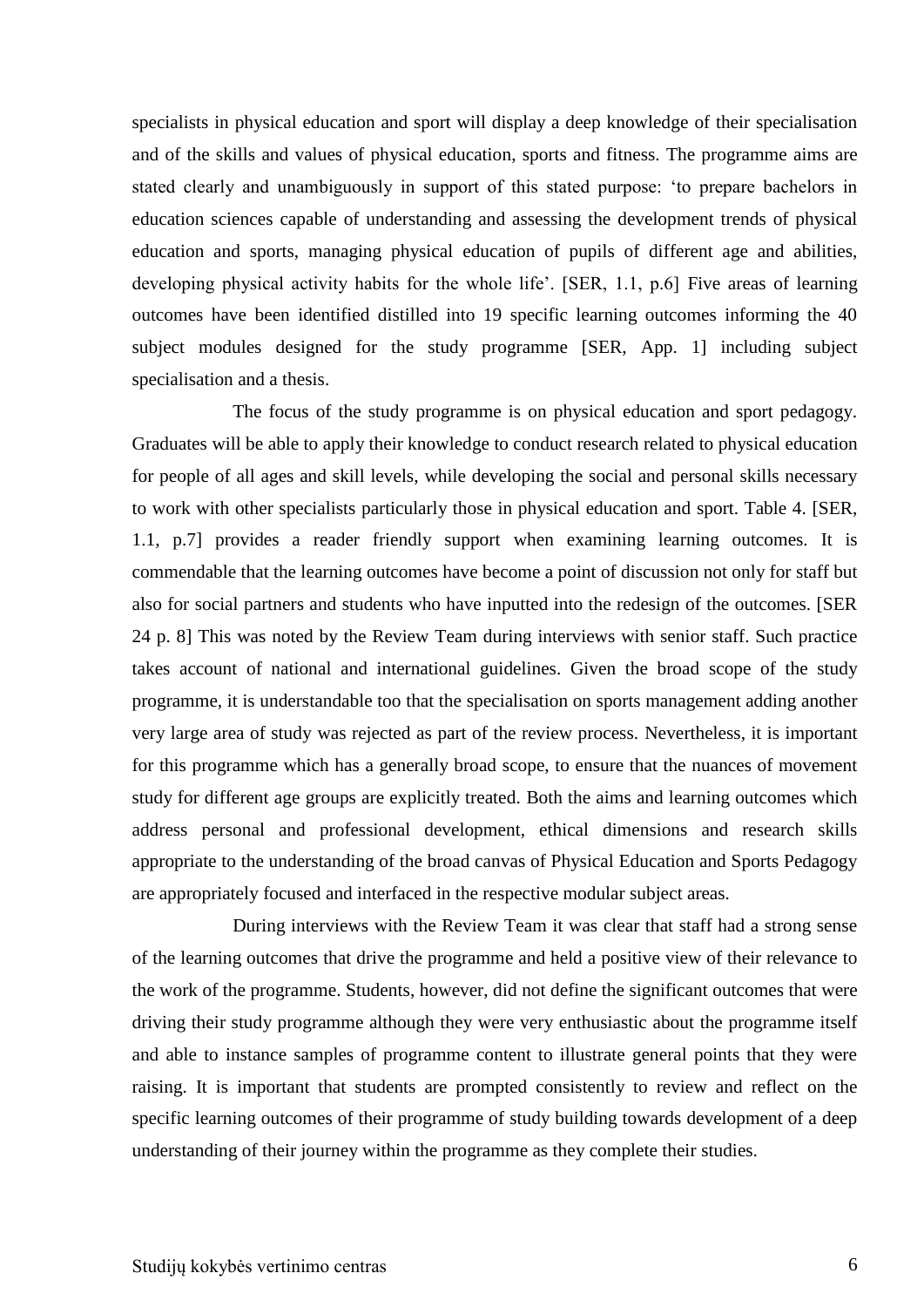specialists in physical education and sport will display a deep knowledge of their specialisation and of the skills and values of physical education, sports and fitness. The programme aims are stated clearly and unambiguously in support of this stated purpose: 'to prepare bachelors in education sciences capable of understanding and assessing the development trends of physical education and sports, managing physical education of pupils of different age and abilities, developing physical activity habits for the whole life'. [SER, 1.1, p.6] Five areas of learning outcomes have been identified distilled into 19 specific learning outcomes informing the 40 subject modules designed for the study programme [SER, App. 1] including subject specialisation and a thesis.

The focus of the study programme is on physical education and sport pedagogy. Graduates will be able to apply their knowledge to conduct research related to physical education for people of all ages and skill levels, while developing the social and personal skills necessary to work with other specialists particularly those in physical education and sport. Table 4. [SER, 1.1, p.7] provides a reader friendly support when examining learning outcomes. It is commendable that the learning outcomes have become a point of discussion not only for staff but also for social partners and students who have inputted into the redesign of the outcomes. [SER 24 p. 8] This was noted by the Review Team during interviews with senior staff. Such practice takes account of national and international guidelines. Given the broad scope of the study programme, it is understandable too that the specialisation on sports management adding another very large area of study was rejected as part of the review process. Nevertheless, it is important for this programme which has a generally broad scope, to ensure that the nuances of movement study for different age groups are explicitly treated. Both the aims and learning outcomes which address personal and professional development, ethical dimensions and research skills appropriate to the understanding of the broad canvas of Physical Education and Sports Pedagogy are appropriately focused and interfaced in the respective modular subject areas.

During interviews with the Review Team it was clear that staff had a strong sense of the learning outcomes that drive the programme and held a positive view of their relevance to the work of the programme. Students, however, did not define the significant outcomes that were driving their study programme although they were very enthusiastic about the programme itself and able to instance samples of programme content to illustrate general points that they were raising. It is important that students are prompted consistently to review and reflect on the specific learning outcomes of their programme of study building towards development of a deep understanding of their journey within the programme as they complete their studies.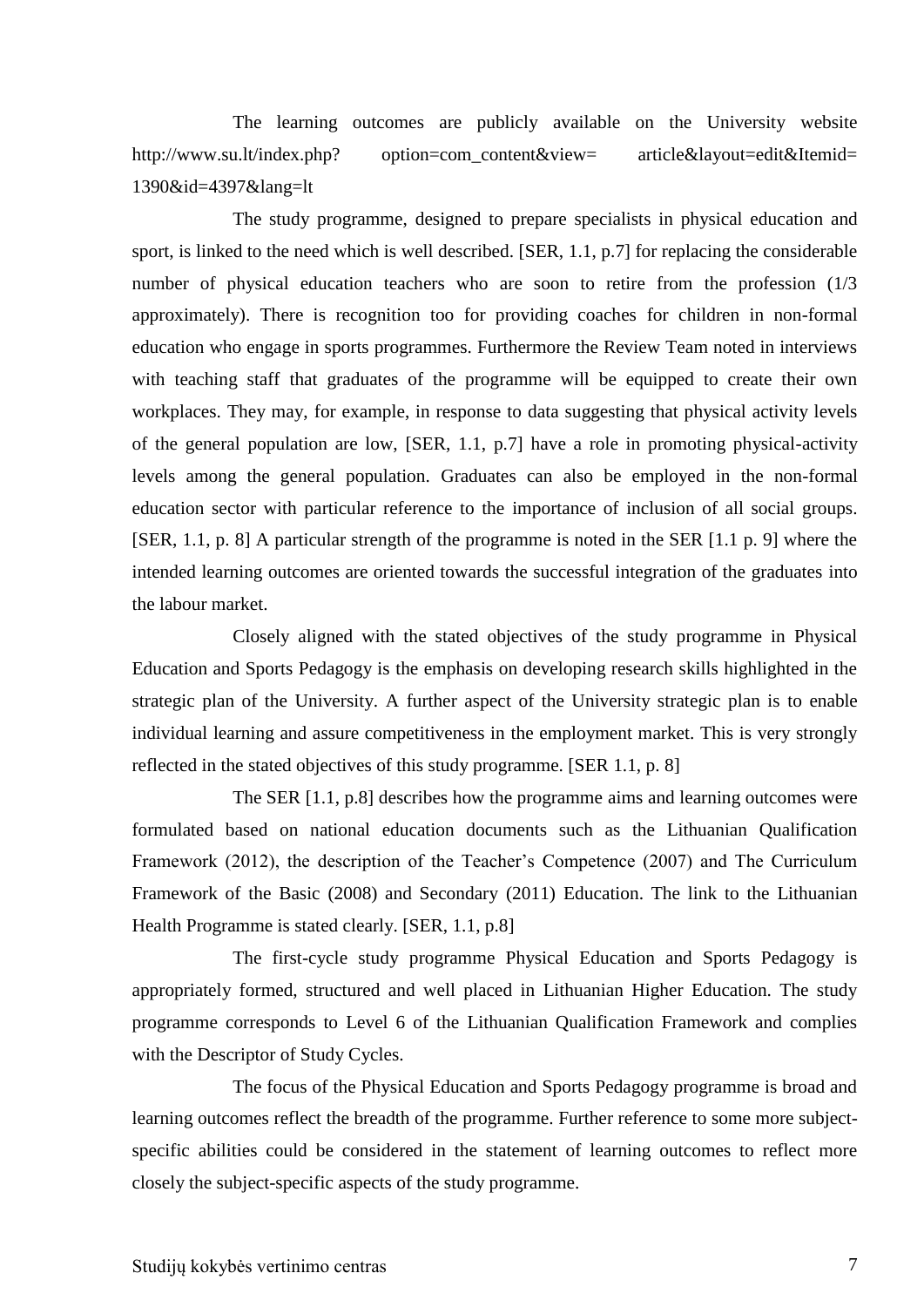The learning outcomes are publicly available on the University website http://www.su.lt/index.php? option=com\_content&view= article&layout=edit&Itemid= 1390&id=4397&lang=lt

The study programme, designed to prepare specialists in physical education and sport, is linked to the need which is well described. [SER, 1.1, p.7] for replacing the considerable number of physical education teachers who are soon to retire from the profession (1/3 approximately). There is recognition too for providing coaches for children in non-formal education who engage in sports programmes. Furthermore the Review Team noted in interviews with teaching staff that graduates of the programme will be equipped to create their own workplaces. They may, for example, in response to data suggesting that physical activity levels of the general population are low, [SER, 1.1, p.7] have a role in promoting physical-activity levels among the general population. Graduates can also be employed in the non-formal education sector with particular reference to the importance of inclusion of all social groups. [SER, 1.1, p. 8] A particular strength of the programme is noted in the SER [1.1 p. 9] where the intended learning outcomes are oriented towards the successful integration of the graduates into the labour market.

Closely aligned with the stated objectives of the study programme in Physical Education and Sports Pedagogy is the emphasis on developing research skills highlighted in the strategic plan of the University. A further aspect of the University strategic plan is to enable individual learning and assure competitiveness in the employment market. This is very strongly reflected in the stated objectives of this study programme. [SER 1.1, p. 8]

The SER [1.1, p.8] describes how the programme aims and learning outcomes were formulated based on national education documents such as the Lithuanian Qualification Framework (2012), the description of the Teacher's Competence (2007) and The Curriculum Framework of the Basic (2008) and Secondary (2011) Education. The link to the Lithuanian Health Programme is stated clearly. [SER, 1.1, p.8]

The first-cycle study programme Physical Education and Sports Pedagogy is appropriately formed, structured and well placed in Lithuanian Higher Education. The study programme corresponds to Level 6 of the Lithuanian Qualification Framework and complies with the Descriptor of Study Cycles.

The focus of the Physical Education and Sports Pedagogy programme is broad and learning outcomes reflect the breadth of the programme. Further reference to some more subjectspecific abilities could be considered in the statement of learning outcomes to reflect more closely the subject-specific aspects of the study programme.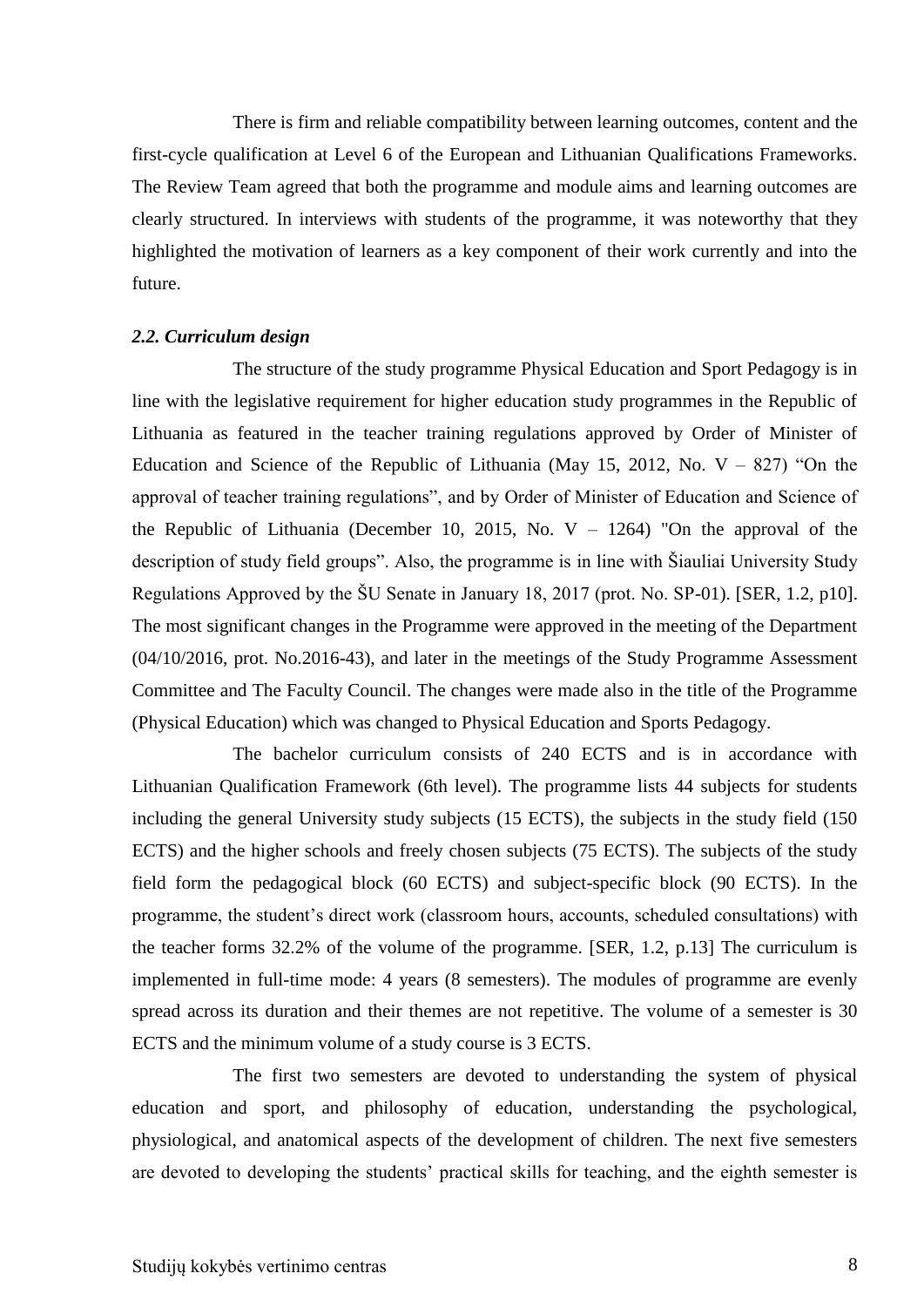There is firm and reliable compatibility between learning outcomes, content and the first-cycle qualification at Level 6 of the European and Lithuanian Qualifications Frameworks. The Review Team agreed that both the programme and module aims and learning outcomes are clearly structured. In interviews with students of the programme, it was noteworthy that they highlighted the motivation of learners as a key component of their work currently and into the future.

#### <span id="page-7-0"></span>*2.2. Curriculum design*

The structure of the study programme Physical Education and Sport Pedagogy is in line with the legislative requirement for higher education study programmes in the Republic of Lithuania as featured in the teacher training regulations approved by Order of Minister of Education and Science of the Republic of Lithuania (May 15, 2012, No.  $V - 827$ ) "On the approval of teacher training regulations", and by Order of Minister of Education and Science of the Republic of Lithuania (December 10, 2015, No.  $V - 1264$ ) "On the approval of the description of study field groups". Also, the programme is in line with Šiauliai University Study Regulations Approved by the ŠU Senate in January 18, 2017 (prot. No. SP-01). [SER, 1.2, p10]. The most significant changes in the Programme were approved in the meeting of the Department (04/10/2016, prot. No.2016-43), and later in the meetings of the Study Programme Assessment Committee and The Faculty Council. The changes were made also in the title of the Programme (Physical Education) which was changed to Physical Education and Sports Pedagogy.

The bachelor curriculum consists of 240 ECTS and is in accordance with Lithuanian Qualification Framework (6th level). The programme lists 44 subjects for students including the general University study subjects (15 ECTS), the subjects in the study field (150 ECTS) and the higher schools and freely chosen subjects (75 ECTS). The subjects of the study field form the pedagogical block (60 ECTS) and subject-specific block (90 ECTS). In the programme, the student's direct work (classroom hours, accounts, scheduled consultations) with the teacher forms 32.2% of the volume of the programme. [SER, 1.2, p.13] The curriculum is implemented in full-time mode: 4 years (8 semesters). The modules of programme are evenly spread across its duration and their themes are not repetitive. The volume of a semester is 30 ECTS and the minimum volume of a study course is 3 ECTS.

The first two semesters are devoted to understanding the system of physical education and sport, and philosophy of education, understanding the psychological, physiological, and anatomical aspects of the development of children. The next five semesters are devoted to developing the students' practical skills for teaching, and the eighth semester is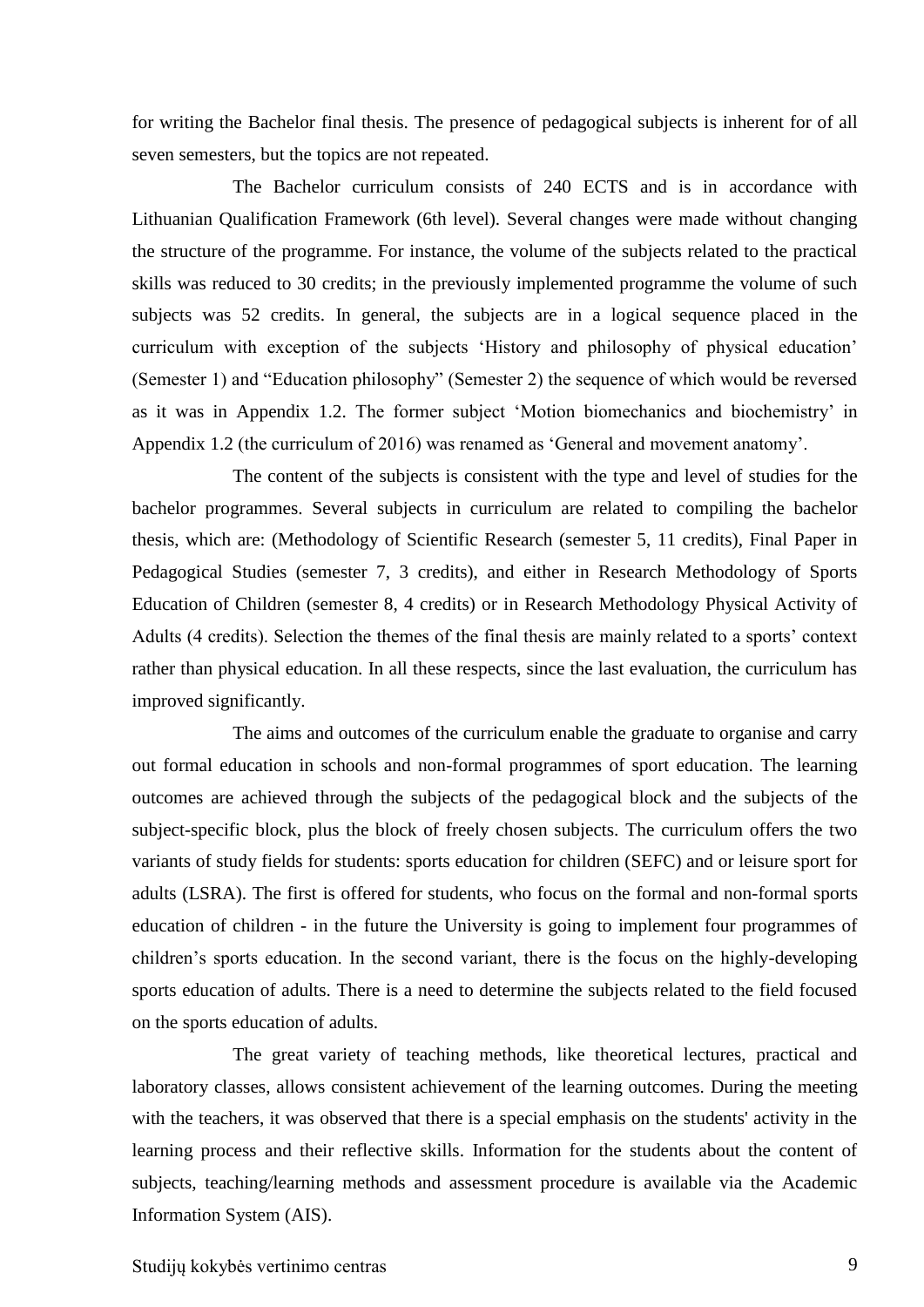for writing the Bachelor final thesis. The presence of pedagogical subjects is inherent for of all seven semesters, but the topics are not repeated.

The Bachelor curriculum consists of 240 ECTS and is in accordance with Lithuanian Qualification Framework (6th level). Several changes were made without changing the structure of the programme. For instance, the volume of the subjects related to the practical skills was reduced to 30 credits; in the previously implemented programme the volume of such subjects was 52 credits. In general, the subjects are in a logical sequence placed in the curriculum with exception of the subjects 'History and philosophy of physical education' (Semester 1) and "Education philosophy" (Semester 2) the sequence of which would be reversed as it was in Appendix 1.2. The former subject 'Motion biomechanics and biochemistry' in Appendix 1.2 (the curriculum of 2016) was renamed as 'General and movement anatomy'.

The content of the subjects is consistent with the type and level of studies for the bachelor programmes. Several subjects in curriculum are related to compiling the bachelor thesis, which are: (Methodology of Scientific Research (semester 5, 11 credits), Final Paper in Pedagogical Studies (semester 7, 3 credits), and either in Research Methodology of Sports Education of Children (semester 8, 4 credits) or in Research Methodology Physical Activity of Adults (4 credits). Selection the themes of the final thesis are mainly related to a sports' context rather than physical education. In all these respects, since the last evaluation, the curriculum has improved significantly.

The aims and outcomes of the curriculum enable the graduate to organise and carry out formal education in schools and non-formal programmes of sport education. The learning outcomes are achieved through the subjects of the pedagogical block and the subjects of the subject-specific block, plus the block of freely chosen subjects. The curriculum offers the two variants of study fields for students: sports education for children (SEFC) and or leisure sport for adults (LSRA). The first is offered for students, who focus on the formal and non-formal sports education of children - in the future the University is going to implement four programmes of children's sports education. In the second variant, there is the focus on the highly-developing sports education of adults. There is a need to determine the subjects related to the field focused on the sports education of adults.

The great variety of teaching methods, like theoretical lectures, practical and laboratory classes, allows consistent achievement of the learning outcomes. During the meeting with the teachers, it was observed that there is a special emphasis on the students' activity in the learning process and their reflective skills. Information for the students about the content of subjects, teaching/learning methods and assessment procedure is available via the Academic Information System (AIS).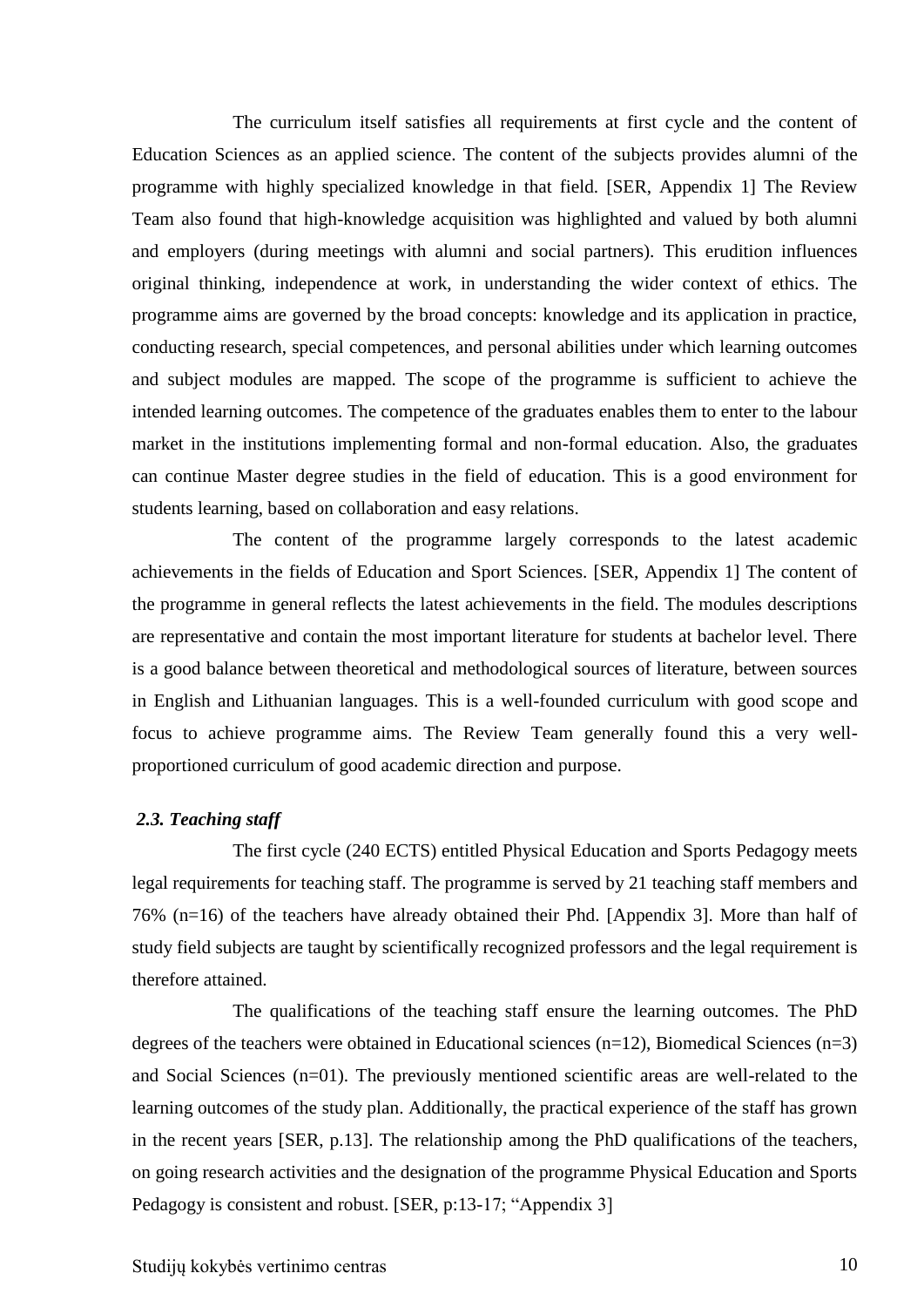The curriculum itself satisfies all requirements at first cycle and the content of Education Sciences as an applied science. The content of the subjects provides alumni of the programme with highly specialized knowledge in that field. [SER, Appendix 1] The Review Team also found that high-knowledge acquisition was highlighted and valued by both alumni and employers (during meetings with alumni and social partners). This erudition influences original thinking, independence at work, in understanding the wider context of ethics. The programme aims are governed by the broad concepts: knowledge and its application in practice, conducting research, special competences, and personal abilities under which learning outcomes and subject modules are mapped. The scope of the programme is sufficient to achieve the intended learning outcomes. The competence of the graduates enables them to enter to the labour market in the institutions implementing formal and non-formal education. Also, the graduates can continue Master degree studies in the field of education. This is a good environment for students learning, based on collaboration and easy relations.

The content of the programme largely corresponds to the latest academic achievements in the fields of Education and Sport Sciences. [SER, Appendix 1] The content of the programme in general reflects the latest achievements in the field. The modules descriptions are representative and contain the most important literature for students at bachelor level. There is a good balance between theoretical and methodological sources of literature, between sources in English and Lithuanian languages. This is a well-founded curriculum with good scope and focus to achieve programme aims. The Review Team generally found this a very wellproportioned curriculum of good academic direction and purpose.

#### <span id="page-9-0"></span>*2.3. Teaching staff*

The first cycle (240 ECTS) entitled Physical Education and Sports Pedagogy meets legal requirements for teaching staff. The programme is served by 21 teaching staff members and 76% (n=16) of the teachers have already obtained their Phd. [Appendix 3]. More than half of study field subjects are taught by scientifically recognized professors and the legal requirement is therefore attained.

The qualifications of the teaching staff ensure the learning outcomes. The PhD degrees of the teachers were obtained in Educational sciences  $(n=12)$ , Biomedical Sciences  $(n=3)$ and Social Sciences (n=01). The previously mentioned scientific areas are well-related to the learning outcomes of the study plan. Additionally, the practical experience of the staff has grown in the recent years [SER, p.13]. The relationship among the PhD qualifications of the teachers, on going research activities and the designation of the programme Physical Education and Sports Pedagogy is consistent and robust. [SER, p:13-17; "Appendix 3]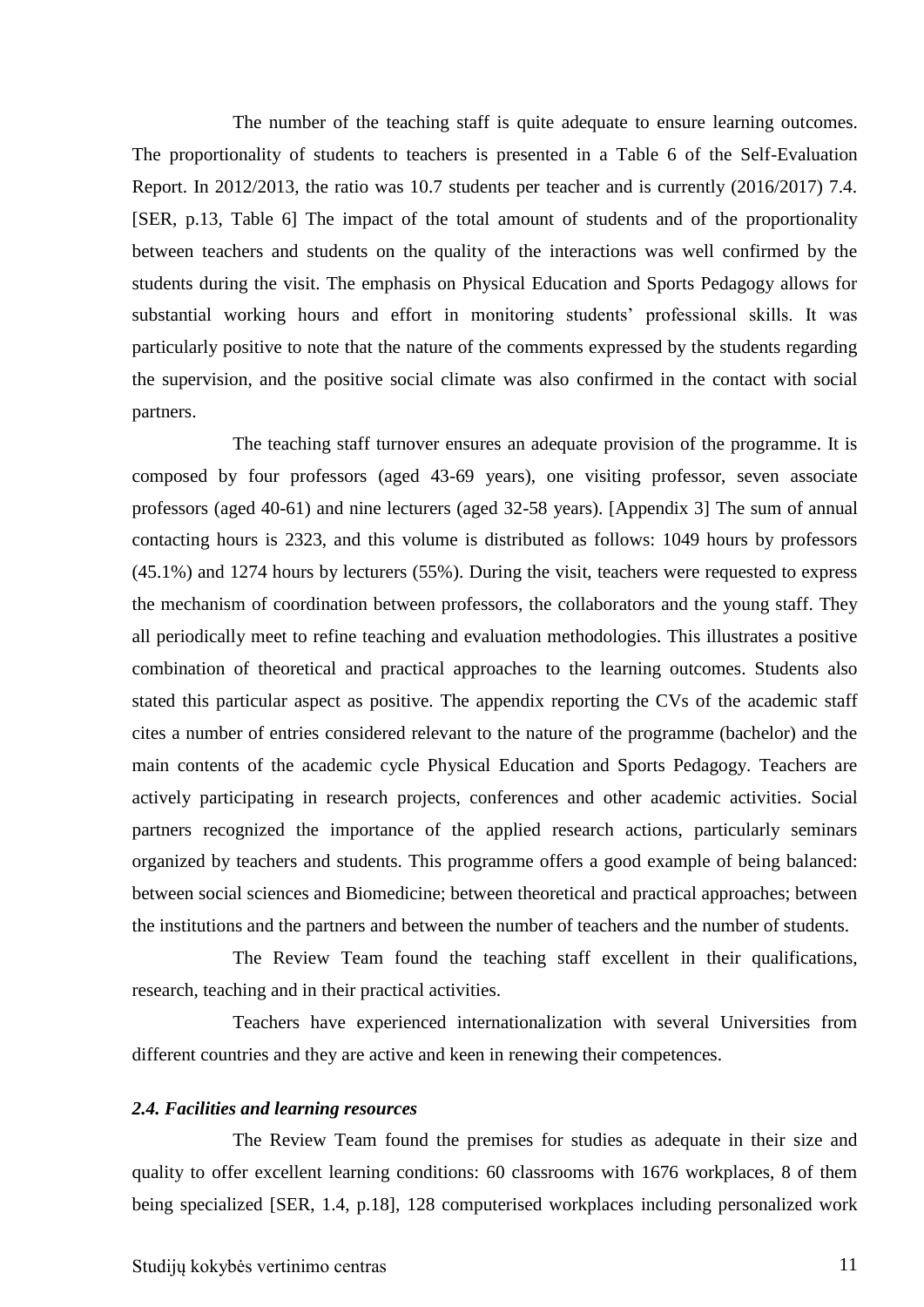The number of the teaching staff is quite adequate to ensure learning outcomes. The proportionality of students to teachers is presented in a Table 6 of the Self-Evaluation Report. In 2012/2013, the ratio was 10.7 students per teacher and is currently (2016/2017) 7.4. [SER, p.13, Table 6] The impact of the total amount of students and of the proportionality between teachers and students on the quality of the interactions was well confirmed by the students during the visit. The emphasis on Physical Education and Sports Pedagogy allows for substantial working hours and effort in monitoring students' professional skills. It was particularly positive to note that the nature of the comments expressed by the students regarding the supervision, and the positive social climate was also confirmed in the contact with social partners.

The teaching staff turnover ensures an adequate provision of the programme. It is composed by four professors (aged 43-69 years), one visiting professor, seven associate professors (aged 40-61) and nine lecturers (aged 32-58 years). [Appendix 3] The sum of annual contacting hours is 2323, and this volume is distributed as follows: 1049 hours by professors (45.1%) and 1274 hours by lecturers (55%). During the visit, teachers were requested to express the mechanism of coordination between professors, the collaborators and the young staff. They all periodically meet to refine teaching and evaluation methodologies. This illustrates a positive combination of theoretical and practical approaches to the learning outcomes. Students also stated this particular aspect as positive. The appendix reporting the CVs of the academic staff cites a number of entries considered relevant to the nature of the programme (bachelor) and the main contents of the academic cycle Physical Education and Sports Pedagogy. Teachers are actively participating in research projects, conferences and other academic activities. Social partners recognized the importance of the applied research actions, particularly seminars organized by teachers and students. This programme offers a good example of being balanced: between social sciences and Biomedicine; between theoretical and practical approaches; between the institutions and the partners and between the number of teachers and the number of students.

The Review Team found the teaching staff excellent in their qualifications, research, teaching and in their practical activities.

Teachers have experienced internationalization with several Universities from different countries and they are active and keen in renewing their competences.

#### <span id="page-10-0"></span>*2.4. Facilities and learning resources*

The Review Team found the premises for studies as adequate in their size and quality to offer excellent learning conditions: 60 classrooms with 1676 workplaces, 8 of them being specialized [SER, 1.4, p.18], 128 computerised workplaces including personalized work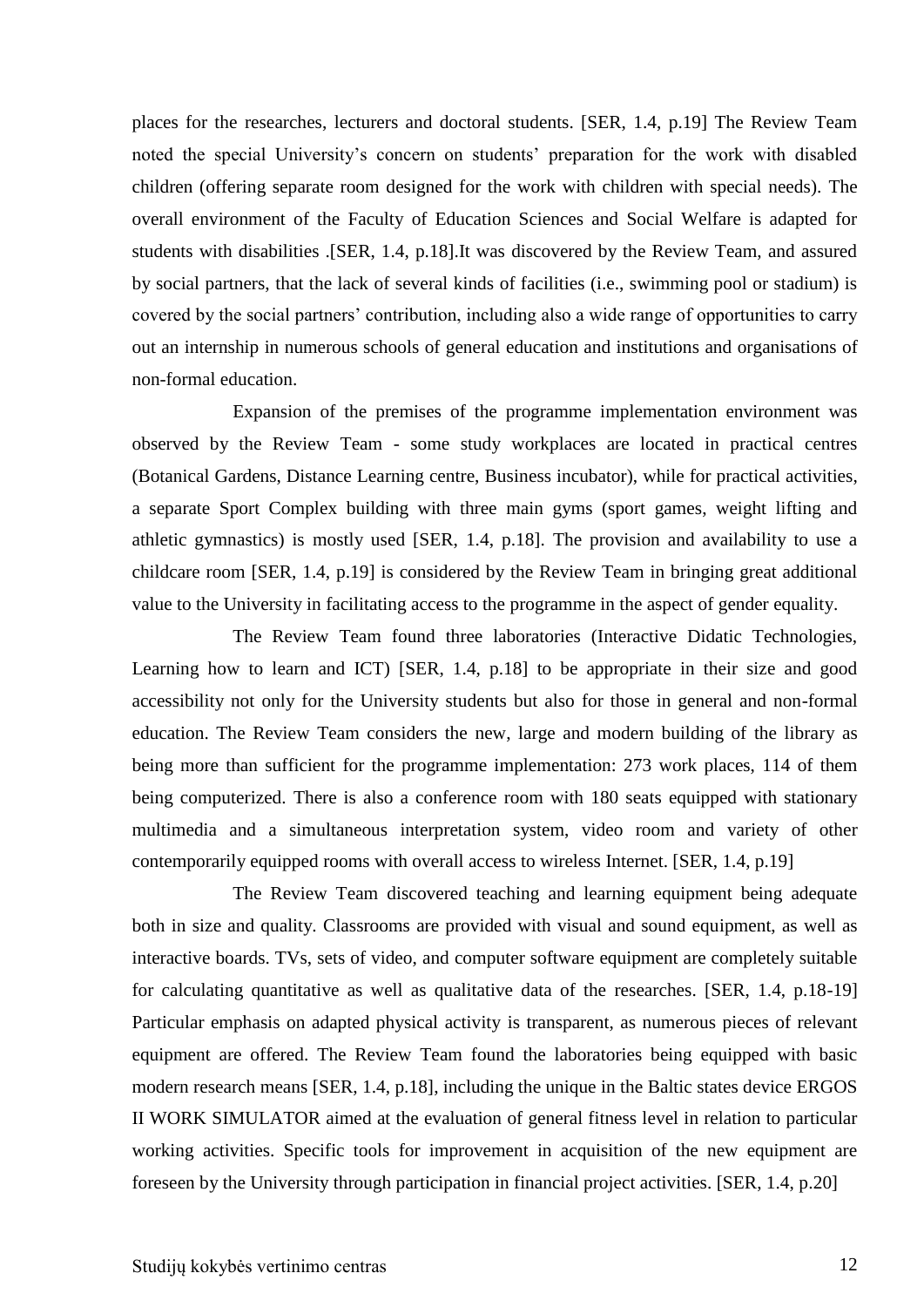places for the researches, lecturers and doctoral students. [SER, 1.4, p.19] The Review Team noted the special University's concern on students' preparation for the work with disabled children (offering separate room designed for the work with children with special needs). The overall environment of the Faculty of Education Sciences and Social Welfare is adapted for students with disabilities .[SER, 1.4, p.18].It was discovered by the Review Team, and assured by social partners, that the lack of several kinds of facilities (i.e., swimming pool or stadium) is covered by the social partners' contribution, including also a wide range of opportunities to carry out an internship in numerous schools of general education and institutions and organisations of non-formal education.

Expansion of the premises of the programme implementation environment was observed by the Review Team - some study workplaces are located in practical centres (Botanical Gardens, Distance Learning centre, Business incubator), while for practical activities, a separate Sport Complex building with three main gyms (sport games, weight lifting and athletic gymnastics) is mostly used [SER, 1.4, p.18]. The provision and availability to use a childcare room [SER, 1.4, p.19] is considered by the Review Team in bringing great additional value to the University in facilitating access to the programme in the aspect of gender equality.

The Review Team found three laboratories (Interactive Didatic Technologies, Learning how to learn and ICT) [SER, 1.4, p.18] to be appropriate in their size and good accessibility not only for the University students but also for those in general and non-formal education. The Review Team considers the new, large and modern building of the library as being more than sufficient for the programme implementation: 273 work places, 114 of them being computerized. There is also a conference room with 180 seats equipped with stationary multimedia and a simultaneous interpretation system, video room and variety of other contemporarily equipped rooms with overall access to wireless Internet. [SER, 1.4, p.19]

The Review Team discovered teaching and learning equipment being adequate both in size and quality. Classrooms are provided with visual and sound equipment, as well as interactive boards. TVs, sets of video, and computer software equipment are completely suitable for calculating quantitative as well as qualitative data of the researches. [SER, 1.4, p.18-19] Particular emphasis on adapted physical activity is transparent, as numerous pieces of relevant equipment are offered. The Review Team found the laboratories being equipped with basic modern research means [SER, 1.4, p.18], including the unique in the Baltic states device ERGOS II WORK SIMULATOR aimed at the evaluation of general fitness level in relation to particular working activities. Specific tools for improvement in acquisition of the new equipment are foreseen by the University through participation in financial project activities. [SER, 1.4, p.20]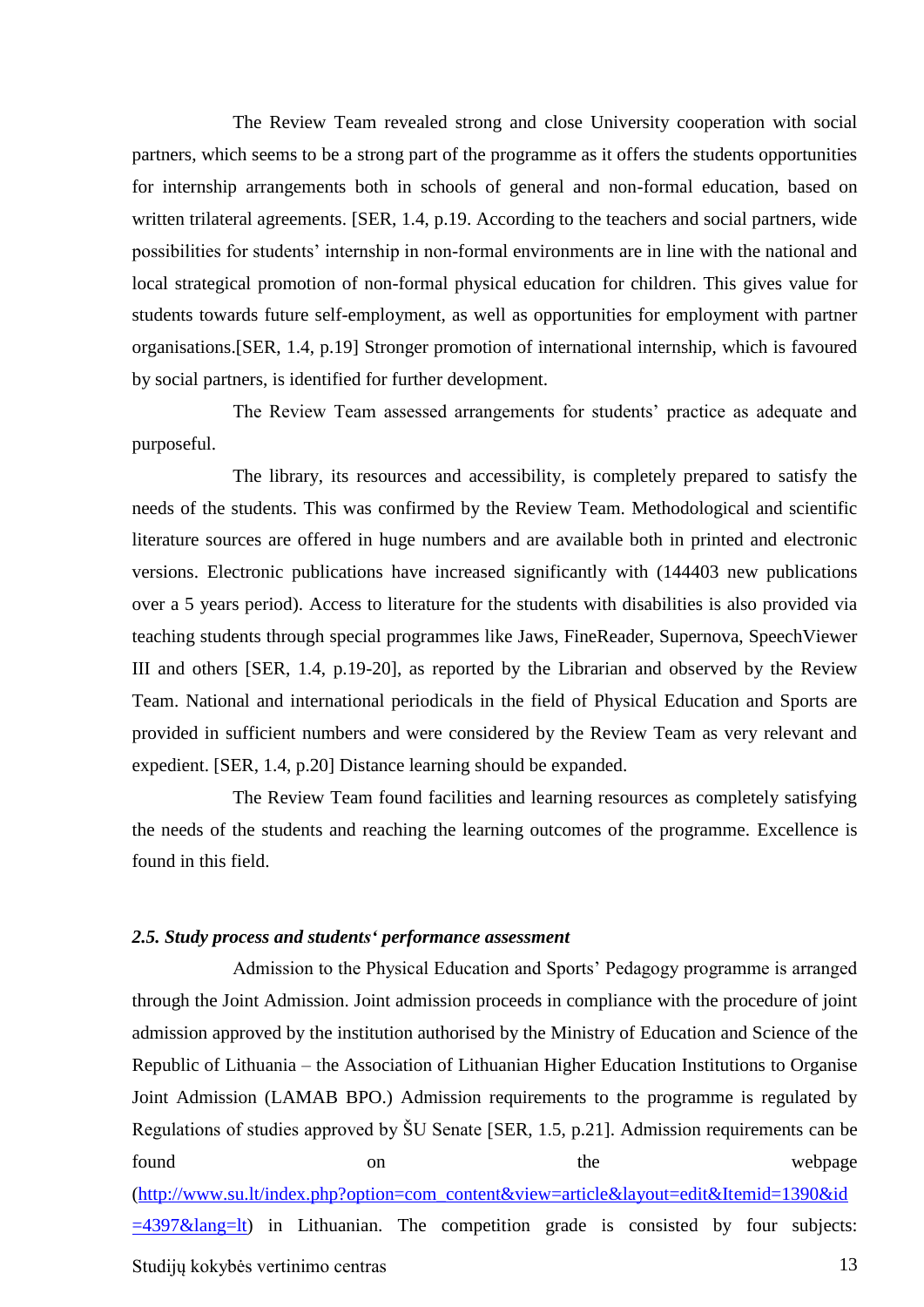The Review Team revealed strong and close University cooperation with social partners, which seems to be a strong part of the programme as it offers the students opportunities for internship arrangements both in schools of general and non-formal education, based on written trilateral agreements. [SER, 1.4, p.19. According to the teachers and social partners, wide possibilities for students' internship in non-formal environments are in line with the national and local strategical promotion of non-formal physical education for children. This gives value for students towards future self-employment, as well as opportunities for employment with partner organisations.[SER, 1.4, p.19] Stronger promotion of international internship, which is favoured by social partners, is identified for further development.

The Review Team assessed arrangements for students' practice as adequate and purposeful.

The library, its resources and accessibility, is completely prepared to satisfy the needs of the students. This was confirmed by the Review Team. Methodological and scientific literature sources are offered in huge numbers and are available both in printed and electronic versions. Electronic publications have increased significantly with (144403 new publications over a 5 years period). Access to literature for the students with disabilities is also provided via teaching students through special programmes like Jaws, FineReader, Supernova, SpeechViewer III and others [SER, 1.4, p.19-20], as reported by the Librarian and observed by the Review Team. National and international periodicals in the field of Physical Education and Sports are provided in sufficient numbers and were considered by the Review Team as very relevant and expedient. [SER, 1.4, p.20] Distance learning should be expanded.

The Review Team found facilities and learning resources as completely satisfying the needs of the students and reaching the learning outcomes of the programme. Excellence is found in this field.

#### <span id="page-12-0"></span>*2.5. Study process and students' performance assessment*

Admission to the Physical Education and Sports' Pedagogy programme is arranged through the Joint Admission. Joint admission proceeds in compliance with the procedure of joint admission approved by the institution authorised by the Ministry of Education and Science of the Republic of Lithuania – the Association of Lithuanian Higher Education Institutions to Organise Joint Admission (LAMAB BPO.) Admission requirements to the programme is regulated by Regulations of studies approved by ŠU Senate [SER, 1.5, p.21]. Admission requirements can be found on on the webpage

[\(http://www.su.lt/index.php?option=com\\_content&view=article&layout=edit&Itemid=1390&id](http://www.su.lt/index.php?option=com_content&view=article&layout=edit&Itemid=1390&id=4397&lang=lt)  $=4397\&$ lang=lt) in Lithuanian. The competition grade is consisted by four subjects: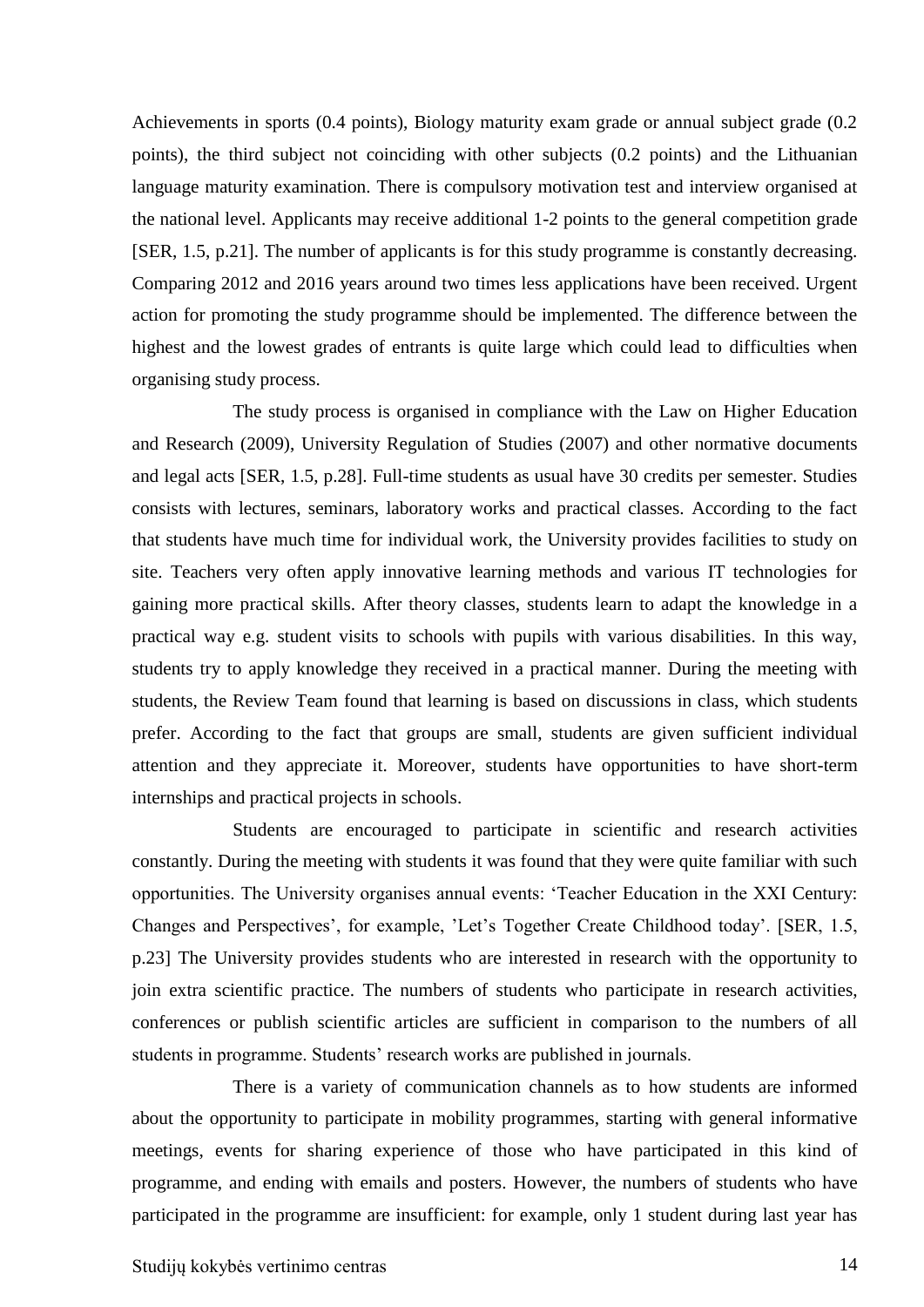Achievements in sports (0.4 points), Biology maturity exam grade or annual subject grade (0.2 points), the third subject not coinciding with other subjects (0.2 points) and the Lithuanian language maturity examination. There is compulsory motivation test and interview organised at the national level. Applicants may receive additional 1-2 points to the general competition grade [SER, 1.5, p.21]. The number of applicants is for this study programme is constantly decreasing. Comparing 2012 and 2016 years around two times less applications have been received. Urgent action for promoting the study programme should be implemented. The difference between the highest and the lowest grades of entrants is quite large which could lead to difficulties when organising study process.

The study process is organised in compliance with the Law on Higher Education and Research (2009), University Regulation of Studies (2007) and other normative documents and legal acts [SER, 1.5, p.28]. Full-time students as usual have 30 credits per semester. Studies consists with lectures, seminars, laboratory works and practical classes. According to the fact that students have much time for individual work, the University provides facilities to study on site. Teachers very often apply innovative learning methods and various IT technologies for gaining more practical skills. After theory classes, students learn to adapt the knowledge in a practical way e.g. student visits to schools with pupils with various disabilities. In this way, students try to apply knowledge they received in a practical manner. During the meeting with students, the Review Team found that learning is based on discussions in class, which students prefer. According to the fact that groups are small, students are given sufficient individual attention and they appreciate it. Moreover, students have opportunities to have short-term internships and practical projects in schools.

Students are encouraged to participate in scientific and research activities constantly. During the meeting with students it was found that they were quite familiar with such opportunities. The University organises annual events: 'Teacher Education in the XXI Century: Changes and Perspectives', for example, 'Let's Together Create Childhood today'. [SER, 1.5, p.23] The University provides students who are interested in research with the opportunity to join extra scientific practice. The numbers of students who participate in research activities, conferences or publish scientific articles are sufficient in comparison to the numbers of all students in programme. Students' research works are published in journals.

There is a variety of communication channels as to how students are informed about the opportunity to participate in mobility programmes, starting with general informative meetings, events for sharing experience of those who have participated in this kind of programme, and ending with emails and posters. However, the numbers of students who have participated in the programme are insufficient: for example, only 1 student during last year has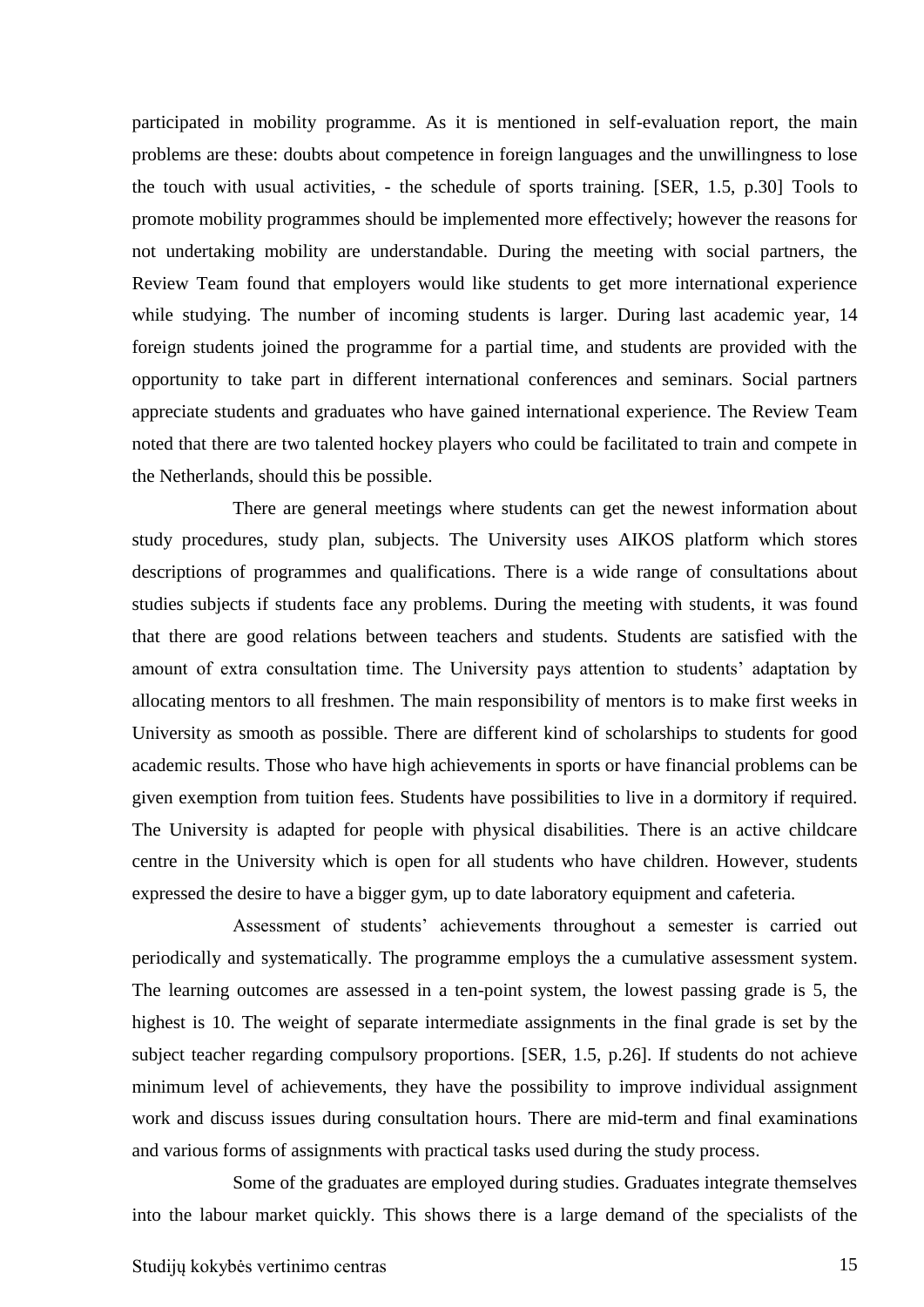participated in mobility programme. As it is mentioned in self-evaluation report, the main problems are these: doubts about competence in foreign languages and the unwillingness to lose the touch with usual activities, - the schedule of sports training. [SER, 1.5, p.30] Tools to promote mobility programmes should be implemented more effectively; however the reasons for not undertaking mobility are understandable. During the meeting with social partners, the Review Team found that employers would like students to get more international experience while studying. The number of incoming students is larger. During last academic year, 14 foreign students joined the programme for a partial time, and students are provided with the opportunity to take part in different international conferences and seminars. Social partners appreciate students and graduates who have gained international experience. The Review Team noted that there are two talented hockey players who could be facilitated to train and compete in the Netherlands, should this be possible.

There are general meetings where students can get the newest information about study procedures, study plan, subjects. The University uses AIKOS platform which stores descriptions of programmes and qualifications. There is a wide range of consultations about studies subjects if students face any problems. During the meeting with students, it was found that there are good relations between teachers and students. Students are satisfied with the amount of extra consultation time. The University pays attention to students' adaptation by allocating mentors to all freshmen. The main responsibility of mentors is to make first weeks in University as smooth as possible. There are different kind of scholarships to students for good academic results. Those who have high achievements in sports or have financial problems can be given exemption from tuition fees. Students have possibilities to live in a dormitory if required. The University is adapted for people with physical disabilities. There is an active childcare centre in the University which is open for all students who have children. However, students expressed the desire to have a bigger gym, up to date laboratory equipment and cafeteria.

Assessment of students' achievements throughout a semester is carried out periodically and systematically. The programme employs the a cumulative assessment system. The learning outcomes are assessed in a ten-point system, the lowest passing grade is 5, the highest is 10. The weight of separate intermediate assignments in the final grade is set by the subject teacher regarding compulsory proportions. [SER, 1.5, p.26]. If students do not achieve minimum level of achievements, they have the possibility to improve individual assignment work and discuss issues during consultation hours. There are mid-term and final examinations and various forms of assignments with practical tasks used during the study process.

Some of the graduates are employed during studies. Graduates integrate themselves into the labour market quickly. This shows there is a large demand of the specialists of the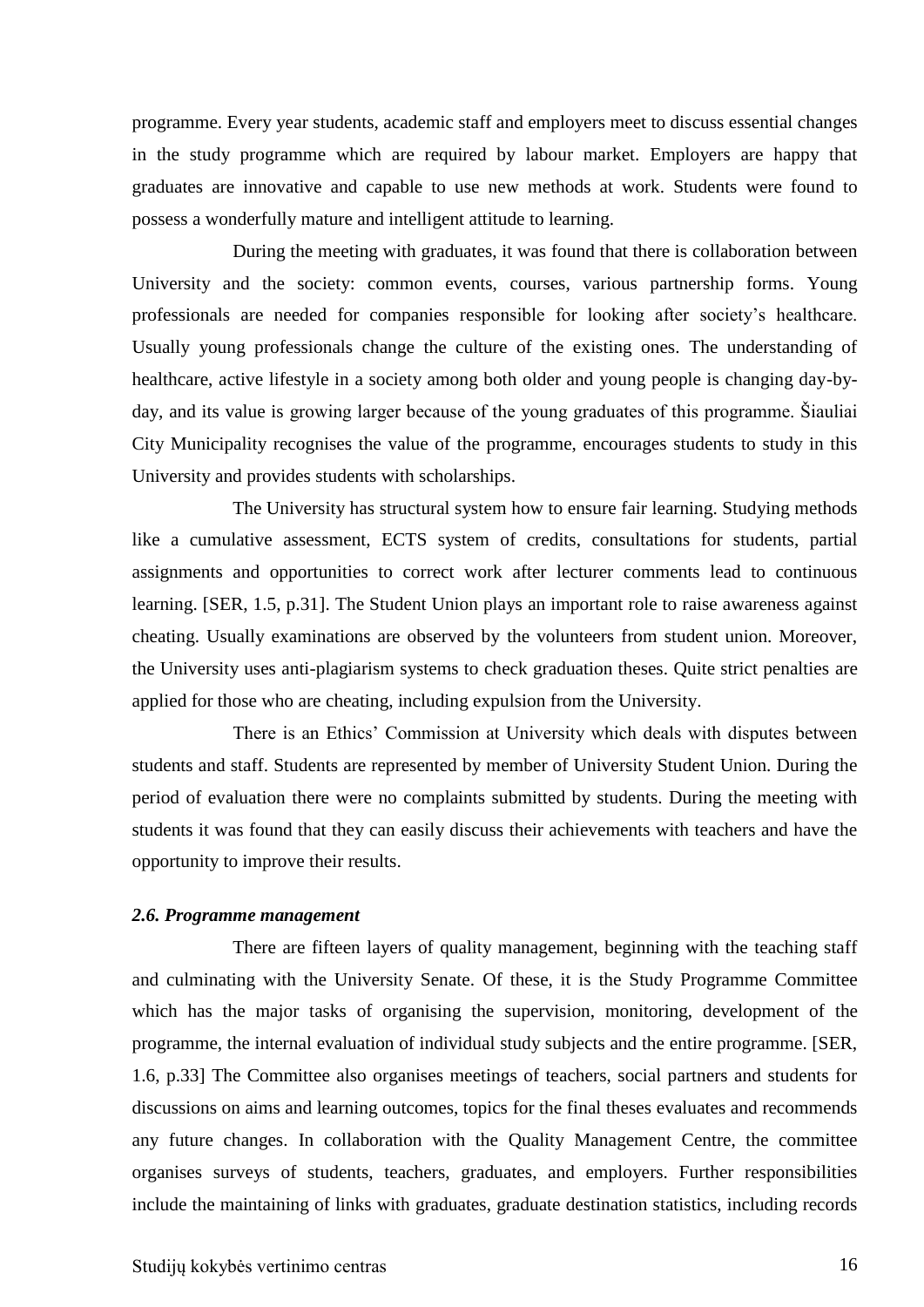programme. Every year students, academic staff and employers meet to discuss essential changes in the study programme which are required by labour market. Employers are happy that graduates are innovative and capable to use new methods at work. Students were found to possess a wonderfully mature and intelligent attitude to learning.

During the meeting with graduates, it was found that there is collaboration between University and the society: common events, courses, various partnership forms. Young professionals are needed for companies responsible for looking after society's healthcare. Usually young professionals change the culture of the existing ones. The understanding of healthcare, active lifestyle in a society among both older and young people is changing day-byday, and its value is growing larger because of the young graduates of this programme. Šiauliai City Municipality recognises the value of the programme, encourages students to study in this University and provides students with scholarships.

The University has structural system how to ensure fair learning. Studying methods like a cumulative assessment, ECTS system of credits, consultations for students, partial assignments and opportunities to correct work after lecturer comments lead to continuous learning. [SER, 1.5, p.31]. The Student Union plays an important role to raise awareness against cheating. Usually examinations are observed by the volunteers from student union. Moreover, the University uses anti-plagiarism systems to check graduation theses. Quite strict penalties are applied for those who are cheating, including expulsion from the University.

There is an Ethics' Commission at University which deals with disputes between students and staff. Students are represented by member of University Student Union. During the period of evaluation there were no complaints submitted by students. During the meeting with students it was found that they can easily discuss their achievements with teachers and have the opportunity to improve their results.

#### <span id="page-15-0"></span>*2.6. Programme management*

There are fifteen layers of quality management, beginning with the teaching staff and culminating with the University Senate. Of these, it is the Study Programme Committee which has the major tasks of organising the supervision, monitoring, development of the programme, the internal evaluation of individual study subjects and the entire programme. [SER, 1.6, p.33] The Committee also organises meetings of teachers, social partners and students for discussions on aims and learning outcomes, topics for the final theses evaluates and recommends any future changes. In collaboration with the Quality Management Centre, the committee organises surveys of students, teachers, graduates, and employers. Further responsibilities include the maintaining of links with graduates, graduate destination statistics, including records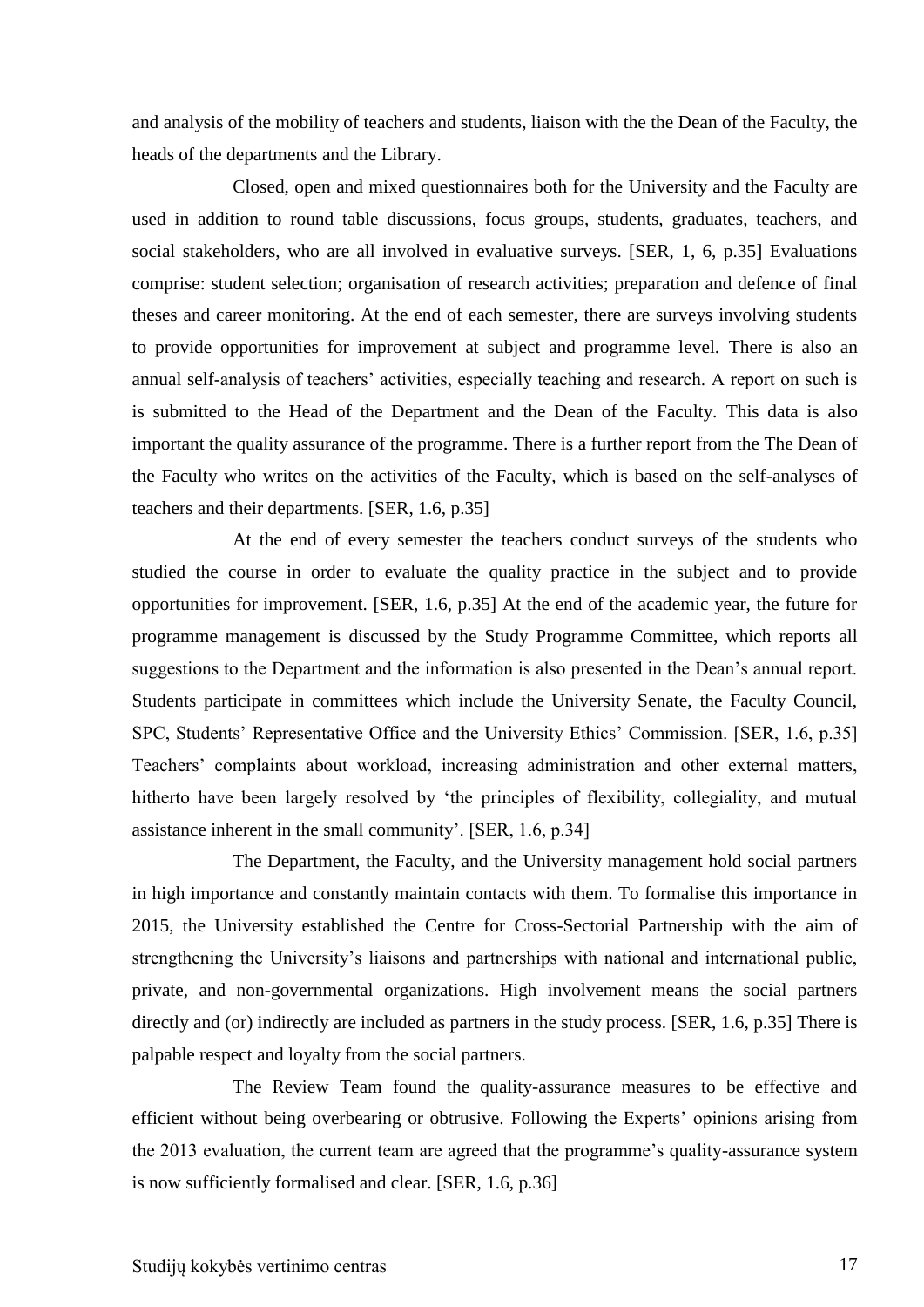and analysis of the mobility of teachers and students, liaison with the the Dean of the Faculty, the heads of the departments and the Library.

Closed, open and mixed questionnaires both for the University and the Faculty are used in addition to round table discussions, focus groups, students, graduates, teachers, and social stakeholders, who are all involved in evaluative surveys. [SER, 1, 6, p.35] Evaluations comprise: student selection; organisation of research activities; preparation and defence of final theses and career monitoring. At the end of each semester, there are surveys involving students to provide opportunities for improvement at subject and programme level. There is also an annual self-analysis of teachers' activities, especially teaching and research. A report on such is is submitted to the Head of the Department and the Dean of the Faculty. This data is also important the quality assurance of the programme. There is a further report from the The Dean of the Faculty who writes on the activities of the Faculty, which is based on the self-analyses of teachers and their departments. [SER, 1.6, p.35]

At the end of every semester the teachers conduct surveys of the students who studied the course in order to evaluate the quality practice in the subject and to provide opportunities for improvement. [SER, 1.6, p.35] At the end of the academic year, the future for programme management is discussed by the Study Programme Committee, which reports all suggestions to the Department and the information is also presented in the Dean's annual report. Students participate in committees which include the University Senate, the Faculty Council, SPC, Students' Representative Office and the University Ethics' Commission. [SER, 1.6, p.35] Teachers' complaints about workload, increasing administration and other external matters, hitherto have been largely resolved by 'the principles of flexibility, collegiality, and mutual assistance inherent in the small community'. [SER, 1.6, p.34]

The Department, the Faculty, and the University management hold social partners in high importance and constantly maintain contacts with them. To formalise this importance in 2015, the University established the Centre for Cross-Sectorial Partnership with the aim of strengthening the University's liaisons and partnerships with national and international public, private, and non-governmental organizations. High involvement means the social partners directly and (or) indirectly are included as partners in the study process. [SER, 1.6, p.35] There is palpable respect and loyalty from the social partners.

The Review Team found the quality-assurance measures to be effective and efficient without being overbearing or obtrusive. Following the Experts' opinions arising from the 2013 evaluation, the current team are agreed that the programme's quality-assurance system is now sufficiently formalised and clear. [SER, 1.6, p.36]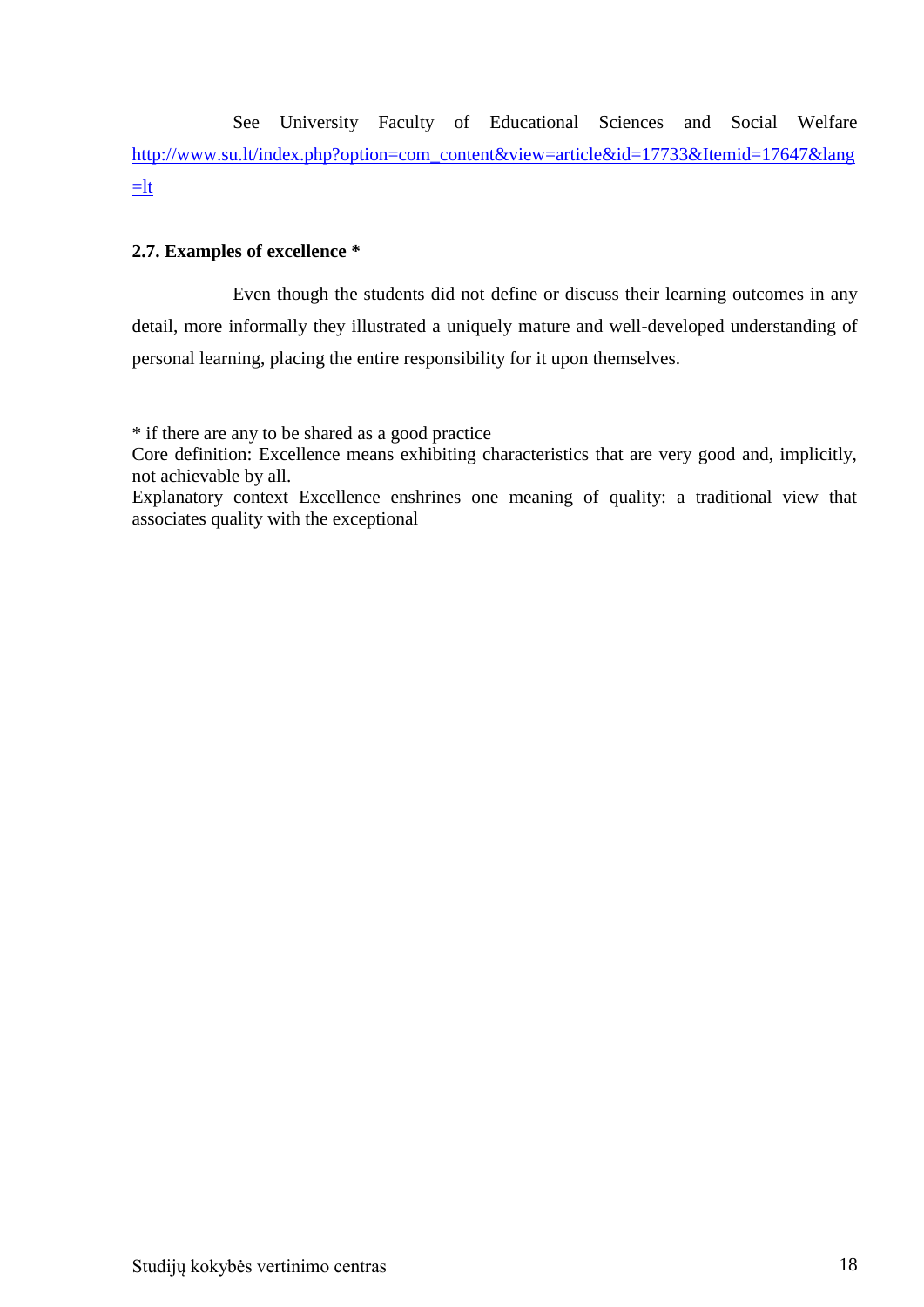See University Faculty of Educational Sciences and Social Welfare [http://www.su.lt/index.php?option=com\\_content&view=article&id=17733&Itemid=17647&lang](http://www.su.lt/index.php?option=com_content&view=article&id=17733&Itemid=17647&lang=lt)  $=$ lt

#### <span id="page-17-0"></span>**2.7. Examples of excellence \***

Even though the students did not define or discuss their learning outcomes in any detail, more informally they illustrated a uniquely mature and well-developed understanding of personal learning, placing the entire responsibility for it upon themselves.

\* if there are any to be shared as a good practice

Core definition: Excellence means exhibiting characteristics that are very good and, implicitly, not achievable by all.

Explanatory context Excellence enshrines one meaning of quality: a traditional view that associates quality with the exceptional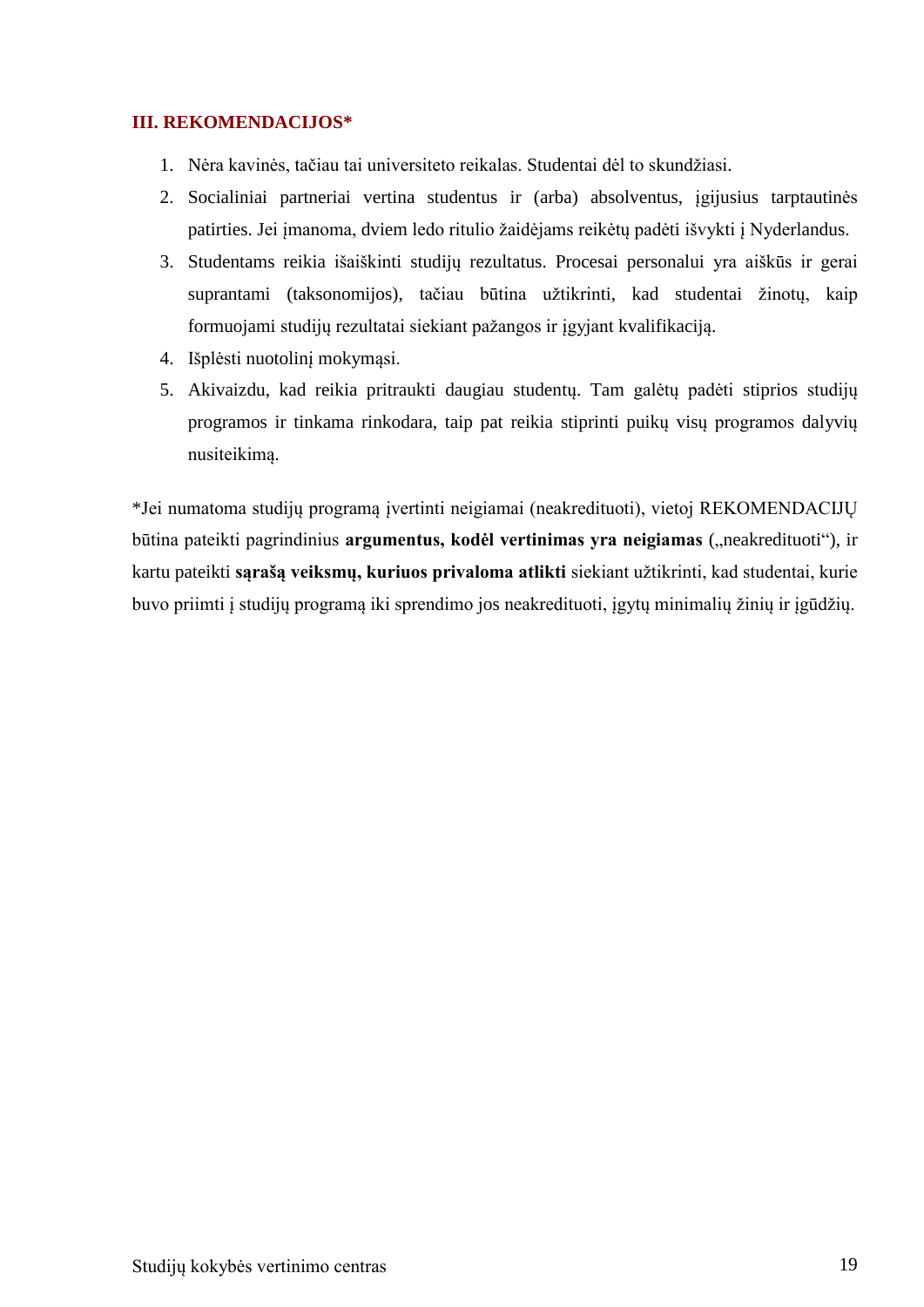## <span id="page-18-0"></span>**III. REKOMENDACIJOS\***

- 1. Nėra kavinės, tačiau tai universiteto reikalas. Studentai dėl to skundžiasi.
- 2. Socialiniai partneriai vertina studentus ir (arba) absolventus, įgijusius tarptautinės patirties. Jei įmanoma, dviem ledo ritulio žaidėjams reikėtų padėti išvykti į Nyderlandus.
- 3. Studentams reikia išaiškinti studijų rezultatus. Procesai personalui yra aiškūs ir gerai suprantami (taksonomijos), tačiau būtina užtikrinti, kad studentai žinotų, kaip formuojami studijų rezultatai siekiant pažangos ir įgyjant kvalifikaciją.
- 4. Išplėsti nuotolinį mokymąsi.
- 5. Akivaizdu, kad reikia pritraukti daugiau studentų. Tam galėtų padėti stiprios studijų programos ir tinkama rinkodara, taip pat reikia stiprinti puikų visų programos dalyvių nusiteikimą.

\*Jei numatoma studijų programą įvertinti neigiamai (neakredituoti), vietoj REKOMENDACIJŲ būtina pateikti pagrindinius argumentus, kodėl vertinimas yra neigiamas ("neakredituoti"), ir kartu pateikti **sąrašą veiksmų, kuriuos privaloma atlikti** siekiant užtikrinti, kad studentai, kurie buvo priimti į studijų programą iki sprendimo jos neakredituoti, įgytų minimalių žinių ir įgūdžių.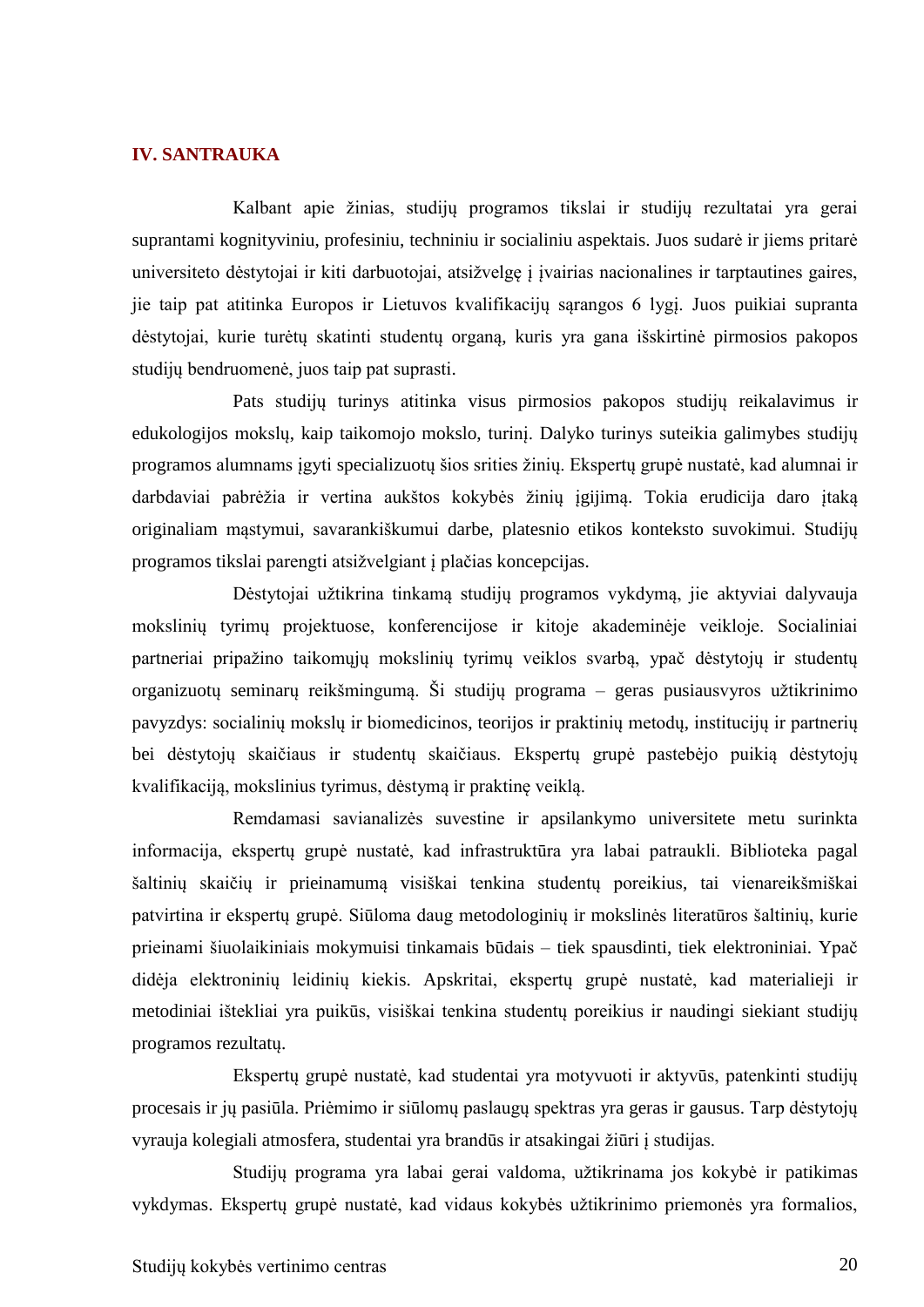#### <span id="page-19-0"></span>**IV. SANTRAUKA**

Kalbant apie žinias, studijų programos tikslai ir studijų rezultatai yra gerai suprantami kognityviniu, profesiniu, techniniu ir socialiniu aspektais. Juos sudarė ir jiems pritarė universiteto dėstytojai ir kiti darbuotojai, atsižvelgę į įvairias nacionalines ir tarptautines gaires, jie taip pat atitinka Europos ir Lietuvos kvalifikacijų sąrangos 6 lygį. Juos puikiai supranta dėstytojai, kurie turėtų skatinti studentų organą, kuris yra gana išskirtinė pirmosios pakopos studijų bendruomenė, juos taip pat suprasti.

Pats studijų turinys atitinka visus pirmosios pakopos studijų reikalavimus ir edukologijos mokslų, kaip taikomojo mokslo, turinį. Dalyko turinys suteikia galimybes studijų programos alumnams įgyti specializuotų šios srities žinių. Ekspertų grupė nustatė, kad alumnai ir darbdaviai pabrėžia ir vertina aukštos kokybės žinių įgijimą. Tokia erudicija daro įtaką originaliam mąstymui, savarankiškumui darbe, platesnio etikos konteksto suvokimui. Studijų programos tikslai parengti atsižvelgiant į plačias koncepcijas.

Dėstytojai užtikrina tinkamą studijų programos vykdymą, jie aktyviai dalyvauja mokslinių tyrimų projektuose, konferencijose ir kitoje akademinėje veikloje. Socialiniai partneriai pripažino taikomųjų mokslinių tyrimų veiklos svarbą, ypač dėstytojų ir studentų organizuotų seminarų reikšmingumą. Ši studijų programa – geras pusiausvyros užtikrinimo pavyzdys: socialinių mokslų ir biomedicinos, teorijos ir praktinių metodų, institucijų ir partnerių bei dėstytojų skaičiaus ir studentų skaičiaus. Ekspertų grupė pastebėjo puikią dėstytojų kvalifikaciją, mokslinius tyrimus, dėstymą ir praktinę veiklą.

Remdamasi savianalizės suvestine ir apsilankymo universitete metu surinkta informacija, ekspertų grupė nustatė, kad infrastruktūra yra labai patraukli. Biblioteka pagal šaltinių skaičių ir prieinamumą visiškai tenkina studentų poreikius, tai vienareikšmiškai patvirtina ir ekspertų grupė. Siūloma daug metodologinių ir mokslinės literatūros šaltinių, kurie prieinami šiuolaikiniais mokymuisi tinkamais būdais – tiek spausdinti, tiek elektroniniai. Ypač didėja elektroninių leidinių kiekis. Apskritai, ekspertų grupė nustatė, kad materialieji ir metodiniai ištekliai yra puikūs, visiškai tenkina studentų poreikius ir naudingi siekiant studijų programos rezultatų.

Ekspertų grupė nustatė, kad studentai yra motyvuoti ir aktyvūs, patenkinti studijų procesais ir jų pasiūla. Priėmimo ir siūlomų paslaugų spektras yra geras ir gausus. Tarp dėstytojų vyrauja kolegiali atmosfera, studentai yra brandūs ir atsakingai žiūri į studijas.

Studijų programa yra labai gerai valdoma, užtikrinama jos kokybė ir patikimas vykdymas. Ekspertų grupė nustatė, kad vidaus kokybės užtikrinimo priemonės yra formalios,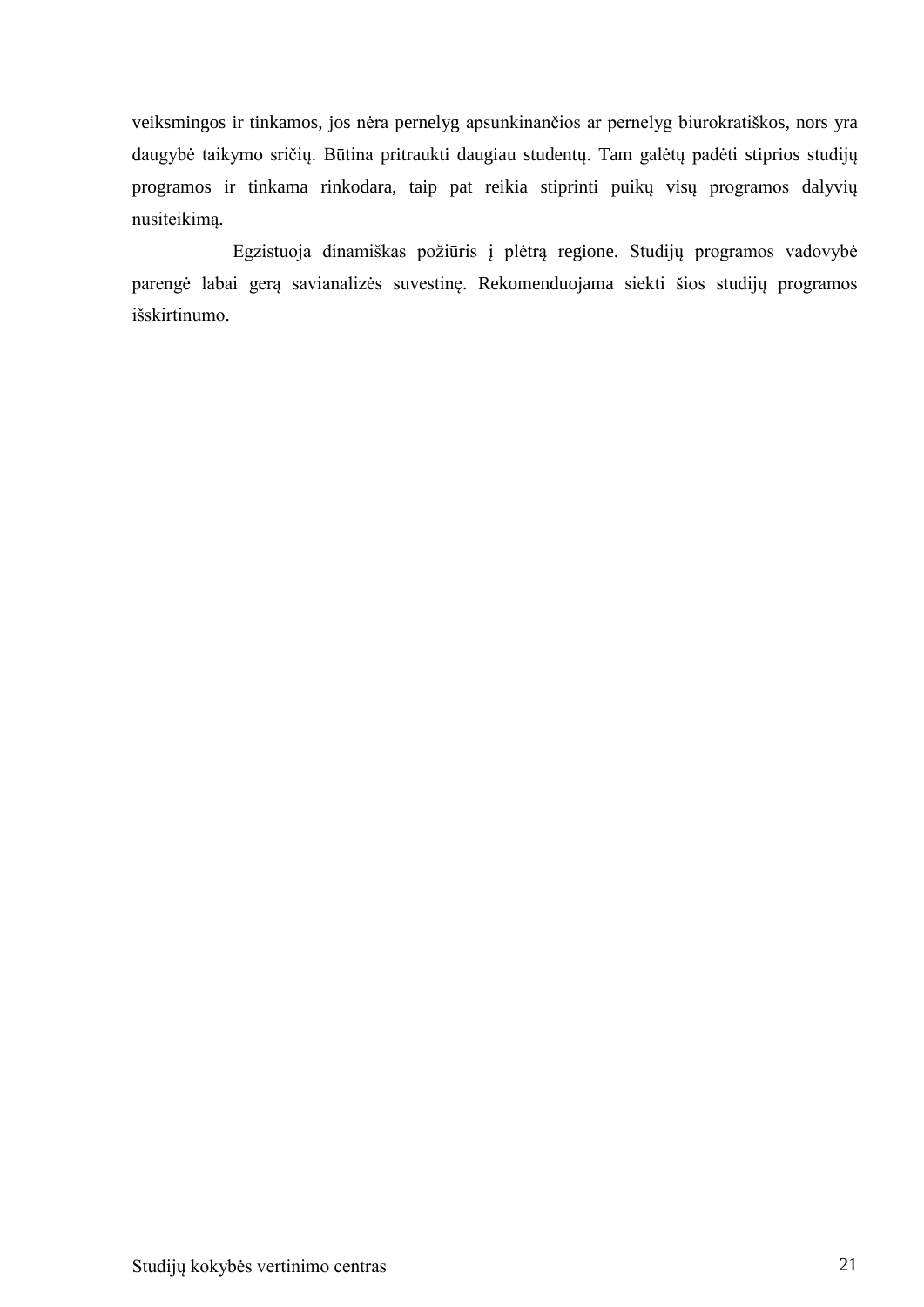veiksmingos ir tinkamos, jos nėra pernelyg apsunkinančios ar pernelyg biurokratiškos, nors yra daugybė taikymo sričių. Būtina pritraukti daugiau studentų. Tam galėtų padėti stiprios studijų programos ir tinkama rinkodara, taip pat reikia stiprinti puikų visų programos dalyvių nusiteikimą.

Egzistuoja dinamiškas požiūris į plėtrą regione. Studijų programos vadovybė parengė labai gerą savianalizės suvestinę. Rekomenduojama siekti šios studijų programos išskirtinumo.